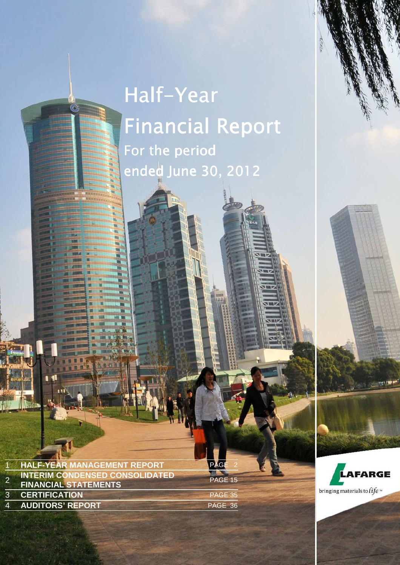# Half-Year **Financial Report** For the period ended June 30, 2012

LAFARGE | HALF-YEAR FINANCIAL REPORT AT JUNE 30, 2012 | PAGE 1

2012 HALF-YEAR MANAGEMENT REPORT **1**

| <b>HALF-YEAR MANAGEMENT REPORT</b>                                   | PAGE<br>-2 |
|----------------------------------------------------------------------|------------|
| <b>INTERIM CONDENSED CONSOLIDATED</b><br><b>FINANCIAL STATEMENTS</b> | PAGE 15    |
| <b>3 CERTIFICATION</b>                                               | PAGE 35    |
| <b>4 AUDITORS' REPORT</b>                                            | PAGE 36    |
|                                                                      |            |

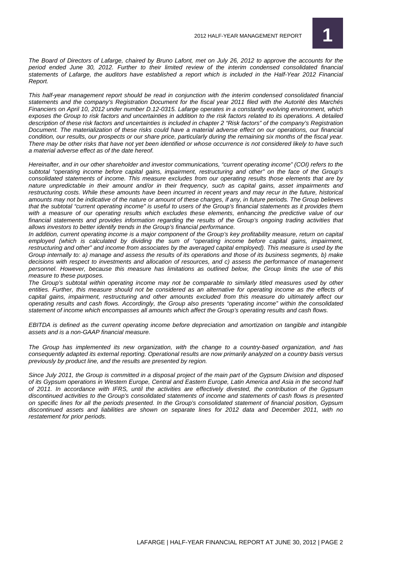

The Board of Directors of Lafarge, chaired by Bruno Lafont, met on July 26, 2012 to approve the accounts for the period ended June 30, 2012. Further to their limited review of the interim condensed consolidated financial statements of Lafarge, the auditors have established a report which is included in the Half-Year 2012 Financial Report.

This half-year management report should be read in conjunction with the interim condensed consolidated financial statements and the company's Registration Document for the fiscal year 2011 filed with the Autorité des Marchés Financiers on April 10, 2012 under number D.12-0315. Lafarge operates in a constantly evolving environment, which exposes the Group to risk factors and uncertainties in addition to the risk factors related to its operations. A detailed description of these risk factors and uncertainties is included in chapter 2 "Risk factors" of the company's Registration Document. The materialization of these risks could have a material adverse effect on our operations, our financial condition, our results, our prospects or our share price, particularly during the remaining six months of the fiscal year. There may be other risks that have not yet been identified or whose occurrence is not considered likely to have such a material adverse effect as of the date hereof.

Hereinafter, and in our other shareholder and investor communications, "current operating income" (COI) refers to the subtotal "operating income before capital gains, impairment, restructuring and other" on the face of the Group's consolidated statements of income. This measure excludes from our operating results those elements that are by nature unpredictable in their amount and/or in their frequency, such as capital gains, asset impairments and restructuring costs. While these amounts have been incurred in recent years and may recur in the future, historical amounts may not be indicative of the nature or amount of these charges, if any, in future periods. The Group believes that the subtotal "current operating income" is useful to users of the Group's financial statements as it provides them with a measure of our operating results which excludes these elements, enhancing the predictive value of our financial statements and provides information regarding the results of the Group's ongoing trading activities that allows investors to better identify trends in the Group's financial performance.

In addition, current operating income is a major component of the Group's key profitability measure, return on capital employed (which is calculated by dividing the sum of "operating income before capital gains, impairment, restructuring and other" and income from associates by the averaged capital employed). This measure is used by the Group internally to: a) manage and assess the results of its operations and those of its business segments, b) make decisions with respect to investments and allocation of resources, and c) assess the performance of management personnel. However, because this measure has limitations as outlined below, the Group limits the use of this measure to these purposes.

The Group's subtotal within operating income may not be comparable to similarly titled measures used by other entities. Further, this measure should not be considered as an alternative for operating income as the effects of capital gains, impairment, restructuring and other amounts excluded from this measure do ultimately affect our operating results and cash flows. Accordingly, the Group also presents "operating income" within the consolidated statement of income which encompasses all amounts which affect the Group's operating results and cash flows.

EBITDA is defined as the current operating income before depreciation and amortization on tangible and intangible assets and is a non-GAAP financial measure.

The Group has implemented its new organization, with the change to a country-based organization, and has consequently adapted its external reporting. Operational results are now primarily analyzed on a country basis versus previously by product line, and the results are presented by region.

Since July 2011, the Group is committed in a disposal project of the main part of the Gypsum Division and disposed of its Gypsum operations in Western Europe, Central and Eastern Europe, Latin America and Asia in the second half of 2011. In accordance with IFRS, until the activities are effectively divested, the contribution of the Gypsum discontinued activities to the Group's consolidated statements of income and statements of cash flows is presented on specific lines for all the periods presented. In the Group's consolidated statement of financial position, Gypsum discontinued assets and liabilities are shown on separate lines for 2012 data and December 2011, with no restatement for prior periods.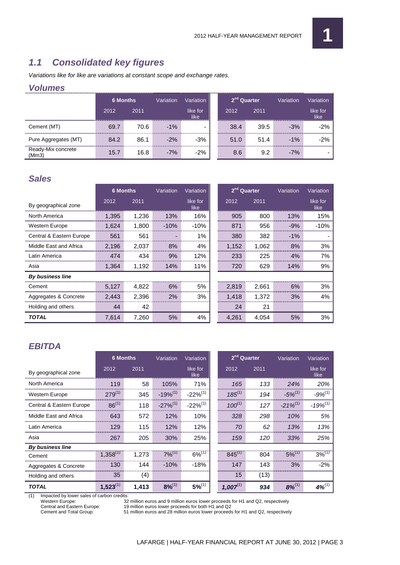# **1.1 Consolidated key figures**

Variations like for like are variations at constant scope and exchange rates.

## **Volumes**

| <u>V UILIIIGS</u>          |                 |      |           |                      |                         |      |           |                  |
|----------------------------|-----------------|------|-----------|----------------------|-------------------------|------|-----------|------------------|
|                            | <b>6 Months</b> |      | Variation | Variation            | 2 <sup>nd</sup> Quarter |      | Variation | Variation        |
|                            | 2012            | 2011 |           | like for<br>like<br> | 2012                    | 2011 |           | like for<br>like |
| Cement (MT)                | 69.7            | 70.6 | $-1\%$    |                      | 38.4                    | 39.5 | -3%       |                  |
| Pure Aggregates (MT)       | 84.2            | 86.1 | $-2\%$    | $-3%$                | 51.0                    | 51.4 | $-1\%$    | $-2%$            |
| Ready-Mix concrete<br>(Mm3 | 15.7            | 16.8 | $-7%$     | $-2%$                | 8.6                     | 9.2  | $-7%$     |                  |

## **Sales**

|                          | <b>6 Months</b> |       | Variation | Variation        |       | 2 <sup>nd</sup> Quarter | Variation | Variation        |
|--------------------------|-----------------|-------|-----------|------------------|-------|-------------------------|-----------|------------------|
| By geographical zone     | 2012            | 2011  |           | like for<br>like | 2012  | 2011                    |           | like for<br>like |
| North America            | 1,395           | 1,236 | 13%       | 16%              | 905   | 800                     | 13%       | 15%              |
| <b>Western Europe</b>    | 1.624           | 1.800 | $-10\%$   | $-10%$           | 871   | 956                     | $-9%$     | -10%             |
| Central & Eastern Europe | 561             | 561   |           | $1\%$            | 380   | 382                     | $-1\%$    |                  |
| Middle East and Africa   | 2.196           | 2.037 | 8%        | 4%               | 1,152 | 1,062                   | 8%        | 3%               |
| Latin America            | 474             | 434   | 9%        | 12%              | 233   | 225                     | 4%        | 7%               |
| Asia                     | 1,364           | 1,192 | 14%       | 11%              | 720   | 629                     | 14%       | 9%               |
| <b>By business line</b>  |                 |       |           |                  |       |                         |           |                  |
| Cement                   | 5.127           | 4,822 | 6%        | 5%               | 2.819 | 2.661                   | 6%        | 3%               |
| Aggregates & Concrete    | 2.443           | 2.396 | 2%        | 3%               | 1.418 | 1.372                   | 3%        | 4%               |
| Holding and others       | 44              | 42    |           |                  | 24    | 21                      |           |                  |
| TOTAL                    | 7,614           | 7.260 | 5%        | 4%               | 4,261 | 4,054                   | 5%        | 3%               |

| 2 <sup>nd</sup> Quarter |       | Variation | Variation        |
|-------------------------|-------|-----------|------------------|
| 2012                    | 2011  |           | like for<br>like |
| 905                     | 800   | 13%       | 15%              |
| 871                     | 956   | $-9%$     | $-10%$           |
| 380                     | 382   | $-1\%$    |                  |
| 1,152                   | 1,062 | 8%        | 3%               |
| 233                     | 225   | 4%        | 7%               |
| 720                     | 629   | 14%       | 9%               |
|                         |       |           |                  |
| 2,819                   | 2,661 | 6%        | 3%               |
| 1,418                   | 1,372 | 3%        | 4%               |
| 24                      | 21    |           |                  |
| 4,261                   | 4.054 | 5%        | 3%               |

# **EBITDA**

|                          | <b>6 Months</b> |       | Variation     | Variation        | 2 <sup>nd</sup> Quarter |      | Variation     | Variation        |
|--------------------------|-----------------|-------|---------------|------------------|-------------------------|------|---------------|------------------|
| By geographical zone     | 2012            | 2011  |               | like for<br>like | 2012                    | 2011 |               | like for<br>like |
| North America            | 119             | 58    | 105%          | 71%              | 165                     | 133  | 24%           | <b>20%</b>       |
| Western Europe           | $279^{(1)}$     | 345   | $-19%^{(1)}$  | $-22%^{(1)}$     | $185^{(1)}$             | 194  | $-5\%^{(1)}$  | $-9\%^{(1)}$     |
| Central & Eastern Europe | $86^{(1)}$      | 118   | $-27\%^{(1)}$ | $-22\%^{(1)}$    | $100^{(1)}$             | 127  | $-21\%^{(1)}$ | $-19\%^{(1)}$    |
| Middle East and Africa   | 643             | 572   | 12%           | 10%              | 328                     | 298  | 10%           | 5%               |
| Latin America            | 129             | 115   | 12%           | 12%              | 70                      | 62   | 1.3%          | 13%              |
| Asia                     | 267             | 205   | 30%           | 25%              | 159                     | 120  | 33%           | 25%              |
| By business line         |                 |       |               |                  |                         |      |               |                  |
| Cement                   | $1.358^{(1)}$   | 1.273 | $7%^{(1)}$    | $6\%^{(1)}$      | $845^{(1)}$             | 804  | $5\%^{(1)}$   | $3\%^{(1)}$      |
| Aggregates & Concrete    | 130             | 144   | $-10%$        | $-18%$           | 147                     | 143  | 3%            | $-2%$            |
| Holding and others       | 35              | (4)   |               |                  | 15                      | (13) |               |                  |
| <b>TOTAL</b>             | $1,523^{(1)}$   | 1,413 | $8\%^{(1)}$   | $5%^{(1)}$       | $1,007^{(1)}$           | 934  | $8\%^{(1)}$   | $4%^{(1)}$       |

(1) Impacted by lower sales of carbon credits:

Western Europe: 32 million euros and 9 million euros lower proceeds for H1 and Q2, respectively<br>Central and Eastern Europe: 19 million euros lower proceeds for both H1 and Q2

Central and Eastern Europe: 19 million euros lower proceeds for both H1 and Q2<br>Cement and Total Group: 51 million euros and 28 million euros lower proceeds

Cement and Total Group: 51 million euros and 28 million euros lower proceeds for H1 and Q2, respectively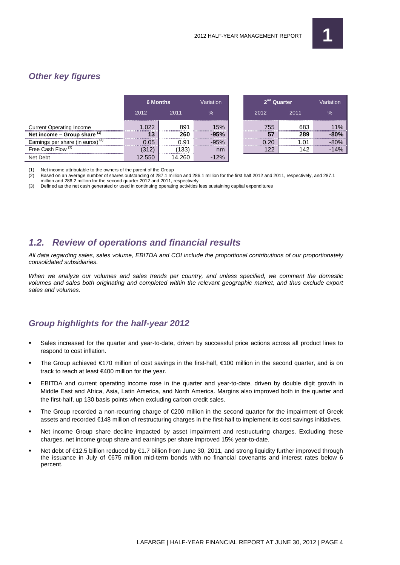# **Other key figures**

|                                     | <b>6 Months</b> |      | <b>Variation</b>                       | 2 <sup>nd</sup> Quarter |      | <b>Variation</b> |
|-------------------------------------|-----------------|------|----------------------------------------|-------------------------|------|------------------|
|                                     | 2012            | 2011 | $\%$                                   | 2012                    | 2011 | $\frac{1}{2}$    |
| <b>Current Operating Income</b>     |                 | 891  | ,,,,,,,,,,,,,,,,,,,,,,,,,,,,,,,<br>15% | 755                     | 683  |                  |
| Net income - Group share (1)        |                 | 260  |                                        |                         | 289  |                  |
| Earnings per share (in euros) $(2)$ |                 | ) Q1 |                                        |                         |      |                  |
| Free Cash Flow <sup>(3)</sup>       |                 | 133  | nm                                     |                         |      |                  |
| Net Debt                            |                 |      |                                        |                         |      |                  |

(1) Net income attributable to the owners of the parent of the Group  $(2)$  Based on an average number of shares outstanding of 287.1 mil

(2) Based on an average number of shares outstanding of 287.1 million and 286.1 million for the first half 2012 and 2011, respectively, and 287.1 million and 286.2 million for the second quarter 2012 and 2011, respectively

(3) Defined as the net cash generated or used in continuing operating activities less sustaining capital expenditures

# **1.2. Review of operations and financial results**

All data regarding sales, sales volume, EBITDA and COI include the proportional contributions of our proportionately consolidated subsidiaries.

When we analyze our volumes and sales trends per country, and unless specified, we comment the domestic volumes and sales both originating and completed within the relevant geographic market, and thus exclude export sales and volumes.

# **Group highlights for the half-year 2012**

- Sales increased for the quarter and year-to-date, driven by successful price actions across all product lines to respond to cost inflation.
- The Group achieved €170 million of cost savings in the first-half, €100 million in the second quarter, and is on track to reach at least €400 million for the year.
- EBITDA and current operating income rose in the quarter and year-to-date, driven by double digit growth in Middle East and Africa, Asia, Latin America, and North America. Margins also improved both in the quarter and the first-half, up 130 basis points when excluding carbon credit sales.
- The Group recorded a non-recurring charge of €200 million in the second quarter for the impairment of Greek assets and recorded €148 million of restructuring charges in the first-half to implement its cost savings initiatives.
- Net income Group share decline impacted by asset impairment and restructuring charges. Excluding these charges, net income group share and earnings per share improved 15% year-to-date.
- Net debt of €12.5 billion reduced by €1.7 billion from June 30, 2011, and strong liquidity further improved through the issuance in July of €675 million mid-term bonds with no financial covenants and interest rates below 6 percent.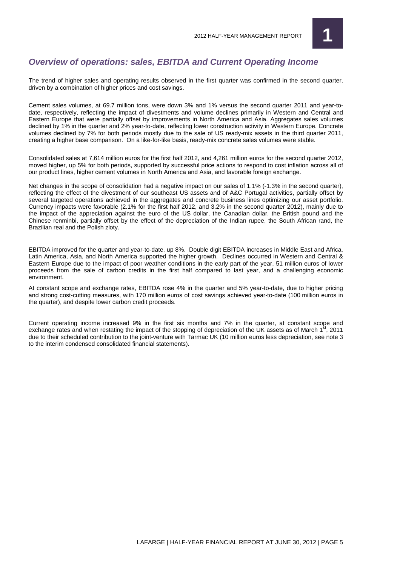

## **Overview of operations: sales, EBITDA and Current Operating Income**

The trend of higher sales and operating results observed in the first quarter was confirmed in the second quarter, driven by a combination of higher prices and cost savings.

Cement sales volumes, at 69.7 million tons, were down 3% and 1% versus the second quarter 2011 and year-todate, respectively, reflecting the impact of divestments and volume declines primarily in Western and Central and Eastern Europe that were partially offset by improvements in North America and Asia. Aggregates sales volumes declined by 1% in the quarter and 2% year-to-date, reflecting lower construction activity in Western Europe. Concrete volumes declined by 7% for both periods mostly due to the sale of US ready-mix assets in the third quarter 2011, creating a higher base comparison. On a like-for-like basis, ready-mix concrete sales volumes were stable.

Consolidated sales at 7,614 million euros for the first half 2012, and 4,261 million euros for the second quarter 2012, moved higher, up 5% for both periods, supported by successful price actions to respond to cost inflation across all of our product lines, higher cement volumes in North America and Asia, and favorable foreign exchange.

Net changes in the scope of consolidation had a negative impact on our sales of 1.1% (-1.3% in the second quarter), reflecting the effect of the divestment of our southeast US assets and of A&C Portugal activities, partially offset by several targeted operations achieved in the aggregates and concrete business lines optimizing our asset portfolio. Currency impacts were favorable (2.1% for the first half 2012, and 3.2% in the second quarter 2012), mainly due to the impact of the appreciation against the euro of the US dollar, the Canadian dollar, the British pound and the Chinese renminbi, partially offset by the effect of the depreciation of the Indian rupee, the South African rand, the Brazilian real and the Polish zloty.

EBITDA improved for the quarter and year-to-date, up 8%. Double digit EBITDA increases in Middle East and Africa, Latin America, Asia, and North America supported the higher growth. Declines occurred in Western and Central & Eastern Europe due to the impact of poor weather conditions in the early part of the year, 51 million euros of lower proceeds from the sale of carbon credits in the first half compared to last year, and a challenging economic environment.

At constant scope and exchange rates, EBITDA rose 4% in the quarter and 5% year-to-date, due to higher pricing and strong cost-cutting measures, with 170 million euros of cost savings achieved year-to-date (100 million euros in the quarter), and despite lower carbon credit proceeds.

Current operating income increased 9% in the first six months and 7% in the quarter, at constant scope and exchange rates and when restating the impact of the stopping of depreciation of the UK assets as of March  $1<sup>st</sup>$ , 2011 due to their scheduled contribution to the joint-venture with Tarmac UK (10 million euros less depreciation, see note 3 to the interim condensed consolidated financial statements).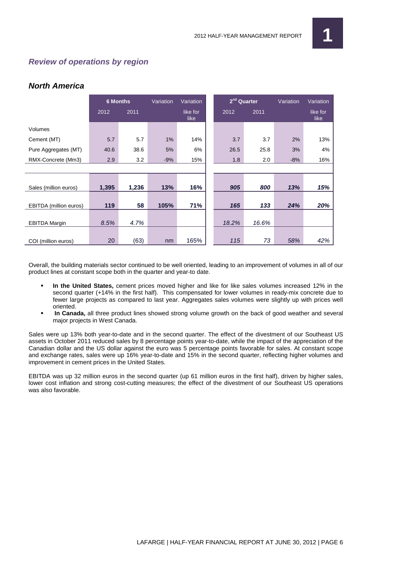# **Review of operations by region**

## **North America**

|                        | <b>6 Months</b> |       | Variation | Variation        | 2 <sup>nd</sup> Quarter |       | Variation | Variation        |
|------------------------|-----------------|-------|-----------|------------------|-------------------------|-------|-----------|------------------|
|                        | 2012            | 2011  |           | like for<br>like | 2012                    | 2011  |           | like for<br>like |
| Volumes                |                 |       |           |                  |                         |       |           |                  |
| Cement (MT)            | 5.7             | 5.7   | 1%        | 14%              | 3.7                     | 3.7   | 2%        | 13%              |
| Pure Aggregates (MT)   | 40.6            | 38.6  | 5%        | 6%               | 26.5                    | 25.8  | 3%        | 4%               |
| RMX-Concrete (Mm3)     | 2.9             | 3.2   | $-9%$     | 15%              | 1.8                     | 2.0   | $-8%$     | 16%              |
|                        |                 |       |           |                  |                         |       |           |                  |
|                        |                 |       |           |                  |                         |       |           |                  |
| Sales (million euros)  | 1,395           | 1,236 | 13%       | 16%              | 905                     | 800   | 13%       | 15%              |
|                        |                 |       |           |                  |                         |       |           |                  |
| EBITDA (million euros) | 119             | 58    | 105%      | 71%              | 165                     | 133   | 24%       | 20%              |
|                        |                 |       |           |                  |                         |       |           |                  |
| <b>EBITDA Margin</b>   | 8.5%            | 4.7%  |           |                  | 18.2%                   | 16.6% |           |                  |
|                        |                 |       |           |                  |                         |       |           |                  |
| COI (million euros)    | 20              | (63)  | nm        | 165%             | 115                     | 73    | 58%       | 42%              |

Overall, the building materials sector continued to be well oriented, leading to an improvement of volumes in all of our product lines at constant scope both in the quarter and year-to date.

- **In the United States,** cement prices moved higher and like for like sales volumes increased 12% in the second quarter (+14% in the first half). This compensated for lower volumes in ready-mix concrete due to fewer large projects as compared to last year. Aggregates sales volumes were slightly up with prices well oriented.
- **In Canada,** all three product lines showed strong volume growth on the back of good weather and several major projects in West Canada.

Sales were up 13% both year-to-date and in the second quarter. The effect of the divestment of our Southeast US assets in October 2011 reduced sales by 8 percentage points year-to-date, while the impact of the appreciation of the Canadian dollar and the US dollar against the euro was 5 percentage points favorable for sales. At constant scope and exchange rates, sales were up 16% year-to-date and 15% in the second quarter, reflecting higher volumes and improvement in cement prices in the United States.

EBITDA was up 32 million euros in the second quarter (up 61 million euros in the first half), driven by higher sales, lower cost inflation and strong cost-cutting measures; the effect of the divestment of our Southeast US operations was also favorable.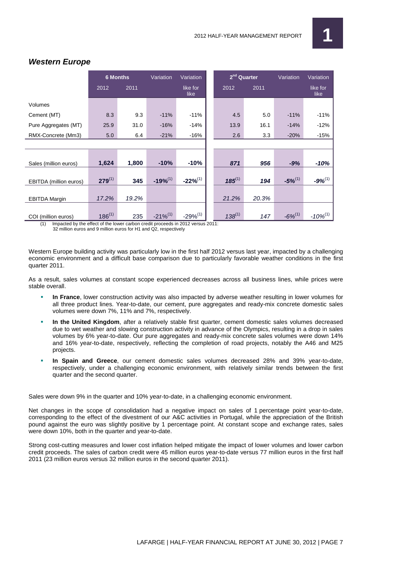

|                        | <b>6 Months</b> |       | Variation    | Variation        | 2 <sup>nd</sup> Quarter |       | Variation    | Variation        |
|------------------------|-----------------|-------|--------------|------------------|-------------------------|-------|--------------|------------------|
|                        | 2012            | 2011  |              | like for<br>like | 2012                    | 2011  |              | like for<br>like |
| Volumes                |                 |       |              |                  |                         |       |              |                  |
| Cement (MT)            | 8.3             | 9.3   | $-11%$       | $-11%$           | 4.5                     | 5.0   | $-11%$       | $-11%$           |
| Pure Aggregates (MT)   | 25.9            | 31.0  | $-16%$       | $-14%$           | 13.9                    | 16.1  | $-14%$       | $-12%$           |
| RMX-Concrete (Mm3)     | 5.0             | 6.4   | $-21%$       | $-16%$           | 2.6                     | 3.3   | $-20%$       | $-15%$           |
|                        |                 |       |              |                  |                         |       |              |                  |
|                        |                 |       |              |                  |                         |       |              |                  |
| Sales (million euros)  | 1,624           | 1,800 | $-10%$       | $-10%$           | 871                     | 956   | $-9%$        | $-10%$           |
| EBITDA (million euros) | $279^{(1)}$     | 345   | $-19%^{(1)}$ | $-22%^{(1)}$     | $185^{(1)}$             | 194   | $-5\%^{(1)}$ | $-9\%^{(1)}$     |
|                        |                 |       |              |                  |                         |       |              |                  |
| <b>EBITDA Margin</b>   | 17.2%           | 19.2% |              |                  | 21.2%                   | 20.3% |              |                  |
| COI (million euros)    | $186^{(1)}$     | 235   | $-21%^{(1)}$ | $-29%^{(1)}$     | $138^{(1)}$             | 147   | $-6\%^{(1)}$ | $-10\%^{(1)}$    |

## **Western Europe**

(1) Impacted by the effect of the lower carbon credit proceeds in 2012 versus 2011:

32 million euros and 9 million euros for H1 and Q2, respectively

Western Europe building activity was particularly low in the first half 2012 versus last year, impacted by a challenging economic environment and a difficult base comparison due to particularly favorable weather conditions in the first quarter 2011.

As a result, sales volumes at constant scope experienced decreases across all business lines, while prices were stable overall.

- **In France**, lower construction activity was also impacted by adverse weather resulting in lower volumes for all three product lines. Year-to-date, our cement, pure aggregates and ready-mix concrete domestic sales volumes were down 7%, 11% and 7%, respectively.
- **In the United Kingdom**, after a relatively stable first quarter, cement domestic sales volumes decreased due to wet weather and slowing construction activity in advance of the Olympics, resulting in a drop in sales volumes by 6% year-to-date. Our pure aggregates and ready-mix concrete sales volumes were down 14% and 16% year-to-date, respectively, reflecting the completion of road projects, notably the A46 and M25 projects.
- **In Spain and Greece**, our cement domestic sales volumes decreased 28% and 39% year-to-date, respectively, under a challenging economic environment, with relatively similar trends between the first quarter and the second quarter.

Sales were down 9% in the quarter and 10% year-to-date, in a challenging economic environment.

Net changes in the scope of consolidation had a negative impact on sales of 1 percentage point year-to-date, corresponding to the effect of the divestment of our A&C activities in Portugal, while the appreciation of the British pound against the euro was slightly positive by 1 percentage point. At constant scope and exchange rates, sales were down 10%, both in the quarter and year-to-date.

Strong cost-cutting measures and lower cost inflation helped mitigate the impact of lower volumes and lower carbon credit proceeds. The sales of carbon credit were 45 million euros year-to-date versus 77 million euros in the first half 2011 (23 million euros versus 32 million euros in the second quarter 2011).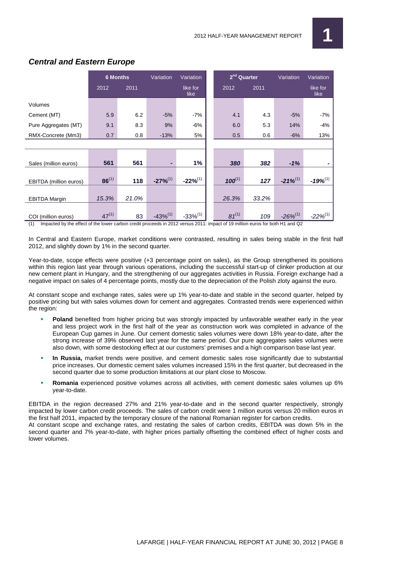

|                        | <b>6 Months</b> |       | Variation    | Variation        | 2 <sup>nd</sup> Quarter |       | Variation     | Variation        |
|------------------------|-----------------|-------|--------------|------------------|-------------------------|-------|---------------|------------------|
|                        | 2012            | 2011  |              | like for<br>like | 2012                    | 2011  |               | like for<br>like |
| Volumes                |                 |       |              |                  |                         |       |               |                  |
| Cement (MT)            | 5.9             | 6.2   | $-5%$        | $-7%$            | 4.1                     | 4.3   | $-5%$         | $-7%$            |
| Pure Aggregates (MT)   | 9.1             | 8.3   | 9%           | -6%              | 6.0                     | 5.3   | 14%           | $-4%$            |
| RMX-Concrete (Mm3)     | 0.7             | 0.8   | $-13%$       | 5%               | 0.5                     | 0.6   | $-6%$         | 13%              |
|                        |                 |       |              |                  |                         |       |               |                  |
|                        |                 |       |              |                  |                         |       |               |                  |
| Sales (million euros)  | 561             | 561   | ٠            | 1%               | 380                     | 382   | $-1%$         |                  |
|                        |                 |       |              |                  |                         |       |               |                  |
| EBITDA (million euros) | $86^{(1)}$      | 118   | $-27%^{(1)}$ | $-22\%^{(1)}$    | $100^{(1)}$             | 127   | $-21%^{(1)}$  | $-19%^{(1)}$     |
|                        |                 |       |              |                  |                         |       |               |                  |
| <b>EBITDA Margin</b>   | 15.3%           | 21.0% |              |                  | 26.3%                   | 33.2% |               |                  |
|                        |                 |       |              |                  |                         |       |               |                  |
| COI (million euros)    | $47^{(1)}$      | 83    | $-43%^{(1)}$ | $-33%^{(1)}$     | $81^{(1)}$              | 109   | $-26\%^{(1)}$ | $-22\%^{(1)}$    |

## **Central and Eastern Europe**

(1) Impacted by the effect of the lower carbon credit proceeds in 2012 versus 2011: impact of 19 million euros for both H1 and Q2

In Central and Eastern Europe, market conditions were contrasted, resulting in sales being stable in the first half 2012, and slightly down by 1% in the second quarter.

Year-to-date, scope effects were positive (+3 percentage point on sales), as the Group strengthened its positions within this region last year through various operations, including the successful start-up of clinker production at our new cement plant in Hungary, and the strengthening of our aggregates activities in Russia. Foreign exchange had a negative impact on sales of 4 percentage points, mostly due to the depreciation of the Polish zloty against the euro.

At constant scope and exchange rates, sales were up 1% year-to-date and stable in the second quarter, helped by positive pricing but with sales volumes down for cement and aggregates. Contrasted trends were experienced within the region:

- **Poland** benefited from higher pricing but was strongly impacted by unfavorable weather early in the year and less project work in the first half of the year as construction work was completed in advance of the European Cup games in June. Our cement domestic sales volumes were down 18% year-to-date, after the strong increase of 39% observed last year for the same period. Our pure aggregates sales volumes were also down, with some destocking effect at our customers' premises and a high comparison base last year.
- **In Russia,** market trends were positive, and cement domestic sales rose significantly due to substantial price increases. Our domestic cement sales volumes increased 15% in the first quarter, but decreased in the second quarter due to some production limitations at our plant close to Moscow.
- **Romania** experienced positive volumes across all activities, with cement domestic sales volumes up 6% year-to-date.

EBITDA in the region decreased 27% and 21% year-to-date and in the second quarter respectively, strongly impacted by lower carbon credit proceeds. The sales of carbon credit were 1 million euros versus 20 million euros in the first half 2011, impacted by the temporary closure of the national Romanian register for carbon credits. At constant scope and exchange rates, and restating the sales of carbon credits, EBITDA was down 5% in the second quarter and 7% year-to-date, with higher prices partially offsetting the combined effect of higher costs and lower volumes.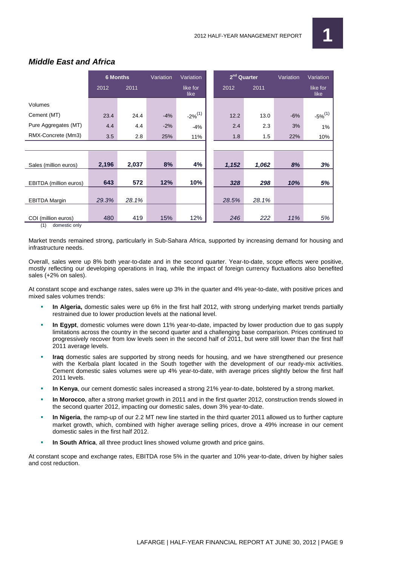

|                        | <b>6 Months</b> |       | Variation | Variation        | 2 <sup>nd</sup> Quarter |       | Variation | Variation        |
|------------------------|-----------------|-------|-----------|------------------|-------------------------|-------|-----------|------------------|
|                        | 2012            | 2011  |           | like for<br>like | 2012                    | 2011  |           | like for<br>like |
| Volumes                |                 |       |           |                  |                         |       |           |                  |
| Cement (MT)            | 23.4            | 24.4  | $-4%$     | $-2\%^{(1)}$     | 12.2                    | 13.0  | $-6%$     | $-5\%^{(1)}$     |
| Pure Aggregates (MT)   | 4.4             | 4.4   | $-2%$     | $-4%$            | 2.4                     | 2.3   | 3%        | 1%               |
| RMX-Concrete (Mm3)     | 3.5             | 2.8   | 25%       | 11%              | 1.8                     | 1.5   | 22%       | 10%              |
|                        |                 |       |           |                  |                         |       |           |                  |
|                        |                 |       |           |                  |                         |       |           |                  |
| Sales (million euros)  | 2,196           | 2,037 | 8%        | 4%               | 1,152                   | 1,062 | 8%        | 3%               |
|                        | 643             | 572   | 12%       | 10%              | 328                     | 298   | 10%       | 5%               |
| EBITDA (million euros) |                 |       |           |                  |                         |       |           |                  |
| <b>EBITDA Margin</b>   | 29.3%           | 28.1% |           |                  | 28.5%                   | 28.1% |           |                  |
| COI (million euros)    | 480             | 419   | 15%       | 12%              | 246                     | 222   | 11%       | 5%               |

## **Middle East and Africa**

(1) domestic only

Market trends remained strong, particularly in Sub-Sahara Africa, supported by increasing demand for housing and infrastructure needs.

Overall, sales were up 8% both year-to-date and in the second quarter. Year-to-date, scope effects were positive, mostly reflecting our developing operations in Iraq, while the impact of foreign currency fluctuations also benefited sales (+2% on sales).

At constant scope and exchange rates, sales were up 3% in the quarter and 4% year-to-date, with positive prices and mixed sales volumes trends:

- **In Algeria,** domestic sales were up 6% in the first half 2012, with strong underlying market trends partially restrained due to lower production levels at the national level.
- **In Egypt**, domestic volumes were down 11% year-to-date, impacted by lower production due to gas supply limitations across the country in the second quarter and a challenging base comparison. Prices continued to progressively recover from low levels seen in the second half of 2011, but were still lower than the first half 2011 average levels.
- **Iraq** domestic sales are supported by strong needs for housing, and we have strengthened our presence with the Kerbala plant located in the South together with the development of our ready-mix activities. Cement domestic sales volumes were up 4% year-to-date, with average prices slightly below the first half 2011 levels.
- **In Kenya**, our cement domestic sales increased a strong 21% year-to-date, bolstered by a strong market.
- **In Morocco**, after a strong market growth in 2011 and in the first quarter 2012, construction trends slowed in the second quarter 2012, impacting our domestic sales, down 3% year-to-date.
- **In Nigeria**, the ramp-up of our 2.2 MT new line started in the third quarter 2011 allowed us to further capture market growth, which, combined with higher average selling prices, drove a 49% increase in our cement domestic sales in the first half 2012.
- **In South Africa**, all three product lines showed volume growth and price gains.

At constant scope and exchange rates, EBITDA rose 5% in the quarter and 10% year-to-date, driven by higher sales and cost reduction.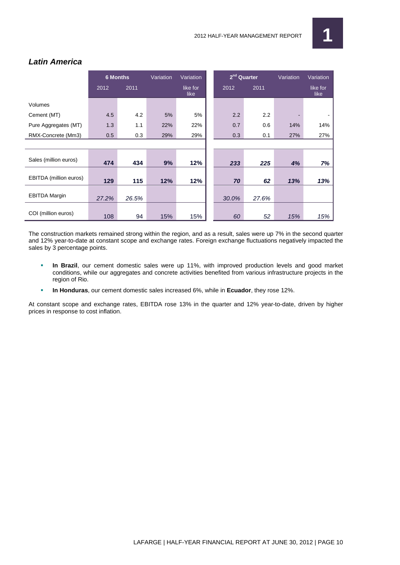

## **Latin America**

|                        | <b>6 Months</b> |       | Variation | Variation        | $2nd$ Quarter |       | Variation | Variation        |
|------------------------|-----------------|-------|-----------|------------------|---------------|-------|-----------|------------------|
|                        | 2012            | 2011  |           | like for<br>like | 2012          | 2011  |           | like for<br>like |
| Volumes                |                 |       |           |                  |               |       |           |                  |
| Cement (MT)            | 4.5             | 4.2   | 5%        | 5%               | 2.2           | 2.2   |           |                  |
| Pure Aggregates (MT)   | 1.3             | 1.1   | 22%       | 22%              | 0.7           | 0.6   | 14%       | 14%              |
| RMX-Concrete (Mm3)     | 0.5             | 0.3   | 29%       | 29%              | 0.3           | 0.1   | 27%       | 27%              |
|                        |                 |       |           |                  |               |       |           |                  |
| Sales (million euros)  | 474             | 434   | 9%        | 12%              | 233           | 225   | 4%        | 7%               |
| EBITDA (million euros) | 129             | 115   | 12%       | 12%              | 70            | 62    | 13%       | 13%              |
| <b>EBITDA Margin</b>   | 27.2%           | 26.5% |           |                  | 30.0%         | 27.6% |           |                  |
| COI (million euros)    | 108             | 94    | 15%       | 15%              | 60            | 52    | 15%       | 15%              |

The construction markets remained strong within the region, and as a result, sales were up 7% in the second quarter and 12% year-to-date at constant scope and exchange rates. Foreign exchange fluctuations negatively impacted the sales by 3 percentage points.

- **In Brazil**, our cement domestic sales were up 11%, with improved production levels and good market conditions, while our aggregates and concrete activities benefited from various infrastructure projects in the region of Rio.
- **In Honduras**, our cement domestic sales increased 6%, while in **Ecuador**, they rose 12%.

At constant scope and exchange rates, EBITDA rose 13% in the quarter and 12% year-to-date, driven by higher prices in response to cost inflation.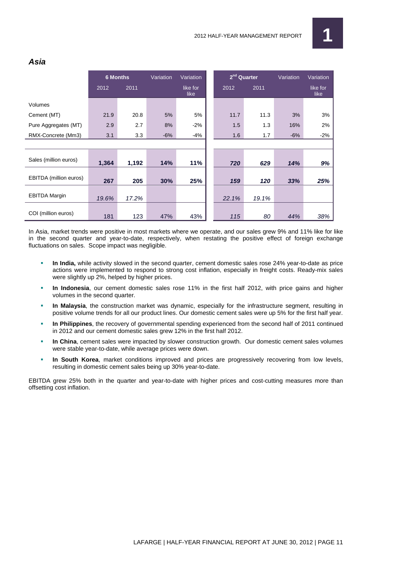

|                        | <b>6 Months</b> |       | Variation | Variation        | 2 <sup>nd</sup> Quarter |       | Variation | Variation        |
|------------------------|-----------------|-------|-----------|------------------|-------------------------|-------|-----------|------------------|
|                        | 2012            | 2011  |           | like for<br>like | 2012                    | 2011  |           | like for<br>like |
| Volumes                |                 |       |           |                  |                         |       |           |                  |
| Cement (MT)            | 21.9            | 20.8  | 5%        | 5%               | 11.7                    | 11.3  | 3%        | 3%               |
| Pure Aggregates (MT)   | 2.9             | 2.7   | 8%        | $-2%$            | 1.5                     | 1.3   | 16%       | 2%               |
| RMX-Concrete (Mm3)     | 3.1             | 3.3   | $-6%$     | -4%              | 1.6                     | 1.7   | $-6%$     | $-2%$            |
|                        |                 |       |           |                  |                         |       |           |                  |
| Sales (million euros)  |                 |       |           |                  |                         |       |           |                  |
|                        | 1,364           | 1,192 | 14%       | 11%              | 720                     | 629   | 14%       | 9%               |
| EBITDA (million euros) | 267             | 205   | 30%       | 25%              | 159                     | 120   | 33%       | 25%              |
| <b>EBITDA Margin</b>   | 19.6%           | 17.2% |           |                  | 22.1%                   | 19.1% |           |                  |
| COI (million euros)    | 181             | 123   | 47%       | 43%              | 115                     | 80    | 44%       | 38%              |

## **Asia**

In Asia, market trends were positive in most markets where we operate, and our sales grew 9% and 11% like for like in the second quarter and year-to-date, respectively, when restating the positive effect of foreign exchange fluctuations on sales. Scope impact was negligible.

- **In India,** while activity slowed in the second quarter, cement domestic sales rose 24% year-to-date as price actions were implemented to respond to strong cost inflation, especially in freight costs. Ready-mix sales were slightly up 2%, helped by higher prices.
- **In Indonesia**, our cement domestic sales rose 11% in the first half 2012, with price gains and higher volumes in the second quarter.
- **In Malaysia**, the construction market was dynamic, especially for the infrastructure segment, resulting in positive volume trends for all our product lines. Our domestic cement sales were up 5% for the first half year.
- **In Philippines**, the recovery of governmental spending experienced from the second half of 2011 continued in 2012 and our cement domestic sales grew 12% in the first half 2012.
- **In China**, cement sales were impacted by slower construction growth. Our domestic cement sales volumes were stable year-to-date, while average prices were down.
- **In South Korea**, market conditions improved and prices are progressively recovering from low levels, resulting in domestic cement sales being up 30% year-to-date.

EBITDA grew 25% both in the quarter and year-to-date with higher prices and cost-cutting measures more than offsetting cost inflation.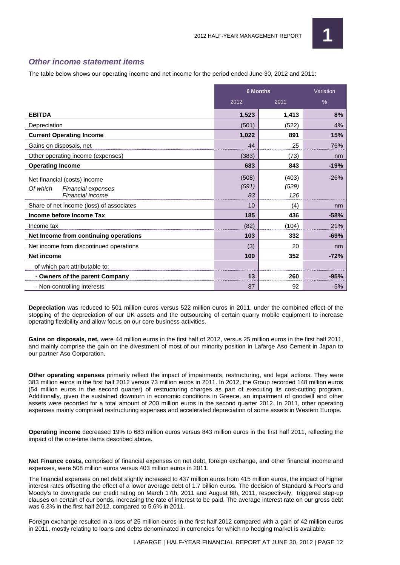

## **Other income statement items**

The table below shows our operating income and net income for the period ended June 30, 2012 and 2011:

|                                                                                    |                      | <b>6 Months</b>       | Variation |  |
|------------------------------------------------------------------------------------|----------------------|-----------------------|-----------|--|
|                                                                                    | 2012                 | 2011                  | %         |  |
| <b>EBITDA</b>                                                                      | 1,523                | 1,413                 | 8%        |  |
| Depreciation                                                                       | (501)                | (522)                 | 4%        |  |
| <b>Current Operating Income</b>                                                    | 1,022                | 891                   | 15%       |  |
| Gains on disposals, net                                                            | 44                   | 25                    | 76%       |  |
| Other operating income (expenses)                                                  | (383)                | (73)                  | nm        |  |
| <b>Operating Income</b>                                                            | 683                  | 843                   | $-19%$    |  |
| Net financial (costs) income<br>Of which<br>Financial expenses<br>Financial income | (508)<br>(591)<br>83 | (403)<br>(529)<br>126 | $-26%$    |  |
| Share of net income (loss) of associates                                           | 10                   | (4)                   | nm        |  |
| Income before Income Tax                                                           | 185                  | 436                   | $-58%$    |  |
| Income tax                                                                         | (82)                 | (104)                 | 21%       |  |
| Net Income from continuing operations                                              | 103                  | 332                   | $-69%$    |  |
| Net income from discontinued operations                                            | (3)                  | 20                    | nm        |  |
| Net income                                                                         | 100                  | 352                   | $-72%$    |  |
| of which part attributable to:                                                     |                      |                       |           |  |
| - Owners of the parent Company                                                     | 13                   | 260                   | $-95%$    |  |
| - Non-controlling interests                                                        | 87                   | 92                    | $-5%$     |  |

**Depreciation** was reduced to 501 million euros versus 522 million euros in 2011, under the combined effect of the stopping of the depreciation of our UK assets and the outsourcing of certain quarry mobile equipment to increase operating flexibility and allow focus on our core business activities.

**Gains on disposals, net,** were 44 million euros in the first half of 2012, versus 25 million euros in the first half 2011, and mainly comprise the gain on the divestment of most of our minority position in Lafarge Aso Cement in Japan to our partner Aso Corporation.

**Other operating expenses** primarily reflect the impact of impairments, restructuring, and legal actions. They were 383 million euros in the first half 2012 versus 73 million euros in 2011. In 2012, the Group recorded 148 million euros (54 million euros in the second quarter) of restructuring charges as part of executing its cost-cutting program. Additionally, given the sustained downturn in economic conditions in Greece, an impairment of goodwill and other assets were recorded for a total amount of 200 million euros in the second quarter 2012. In 2011, other operating expenses mainly comprised restructuring expenses and accelerated depreciation of some assets in Western Europe.

**Operating income** decreased 19% to 683 million euros versus 843 million euros in the first half 2011, reflecting the impact of the one-time items described above.

**Net Finance costs,** comprised of financial expenses on net debt, foreign exchange, and other financial income and expenses, were 508 million euros versus 403 million euros in 2011.

The financial expenses on net debt slightly increased to 437 million euros from 415 million euros, the impact of higher interest rates offsetting the effect of a lower average debt of 1.7 billion euros. The decision of Standard & Poor's and Moody's to downgrade our credit rating on March 17th, 2011 and August 8th, 2011, respectively, triggered step-up clauses on certain of our bonds, increasing the rate of interest to be paid. The average interest rate on our gross debt was 6.3% in the first half 2012, compared to 5.6% in 2011.

Foreign exchange resulted in a loss of 25 million euros in the first half 2012 compared with a gain of 42 million euros in 2011, mostly relating to loans and debts denominated in currencies for which no hedging market is available.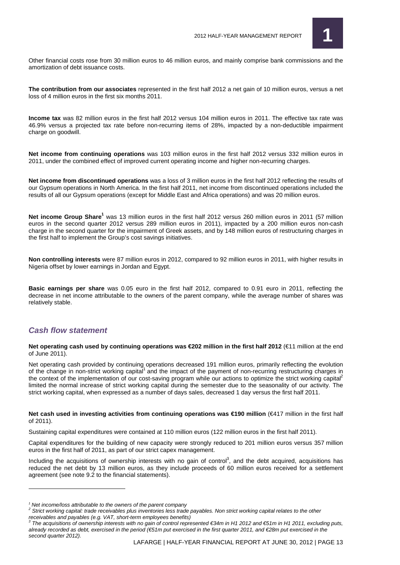

Other financial costs rose from 30 million euros to 46 million euros, and mainly comprise bank commissions and the amortization of debt issuance costs.

**The contribution from our associates** represented in the first half 2012 a net gain of 10 million euros, versus a net loss of 4 million euros in the first six months 2011.

**Income tax** was 82 million euros in the first half 2012 versus 104 million euros in 2011. The effective tax rate was 46.9% versus a projected tax rate before non-recurring items of 28%, impacted by a non-deductible impairment charge on goodwill.

**Net income from continuing operations** was 103 million euros in the first half 2012 versus 332 million euros in 2011, under the combined effect of improved current operating income and higher non-recurring charges.

**Net income from discontinued operations** was a loss of 3 million euros in the first half 2012 reflecting the results of our Gypsum operations in North America. In the first half 2011, net income from discontinued operations included the results of all our Gypsum operations (except for Middle East and Africa operations) and was 20 million euros.

**Net income Group Share<sup>1</sup>** was 13 million euros in the first half 2012 versus 260 million euros in 2011 (57 million euros in the second quarter 2012 versus 289 million euros in 2011), impacted by a 200 million euros non-cash charge in the second quarter for the impairment of Greek assets, and by 148 million euros of restructuring charges in the first half to implement the Group's cost savings initiatives.

**Non controlling interests** were 87 million euros in 2012, compared to 92 million euros in 2011, with higher results in Nigeria offset by lower earnings in Jordan and Egypt.

**Basic earnings per share** was 0.05 euro in the first half 2012, compared to 0.91 euro in 2011, reflecting the decrease in net income attributable to the owners of the parent company, while the average number of shares was relatively stable.

### **Cash flow statement**

 $\overline{a}$ 

**Net operating cash used by continuing operations was €202 million in the first half 2012** (€11 million at the end of June 2011).

Net operating cash provided by continuing operations decreased 191 million euros, primarily reflecting the evolution of the change in non-strict working capital<sup>1</sup> and the impact of the payment of non-recurring restructuring charges in the context of the implementation of our cost-saving program while our actions to optimize the strict working capital<sup>2</sup> limited the normal increase of strict working capital during the semester due to the seasonality of our activity. The strict working capital, when expressed as a number of days sales, decreased 1 day versus the first half 2011.

**Net cash used in investing activities from continuing operations was €190 million (€417 million in the first half** of 2011).

Sustaining capital expenditures were contained at 110 million euros (122 million euros in the first half 2011).

Capital expenditures for the building of new capacity were strongly reduced to 201 million euros versus 357 million euros in the first half of 2011, as part of our strict capex management.

Including the acquisitions of ownership interests with no gain of control<sup>3</sup>, and the debt acquired, acquisitions has reduced the net debt by 13 million euros, as they include proceeds of 60 million euros received for a settlement agreement (see note 9.2 to the financial statements).

 $1$  Net income/loss attributable to the owners of the parent company

 $^2$  Strict working capital: trade receivables plus inventories less trade payables. Non strict working capital relates to the other receivables and payables (e.g. VAT, short-term employees benefits)<br><sup>3</sup> The acquisitions of ownership interests with no gain of control represented €34m in H1 2012 and €51min H1 2011, excluding puts,

already recorded as debt, exercised in the period (€51m put exercised in the first quarter 2011, and €28m put exercised in the second quarter 2012).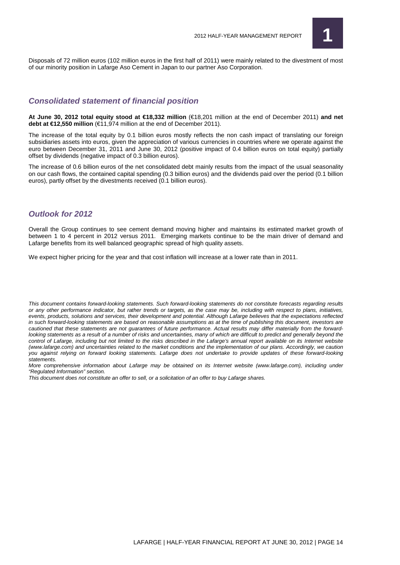

Disposals of 72 million euros (102 million euros in the first half of 2011) were mainly related to the divestment of most of our minority position in Lafarge Aso Cement in Japan to our partner Aso Corporation.

## **Consolidated statement of financial position**

**At June 30, 2012 total equity stood at €18,332 million** (€18,201 million at the end of December 2011) **and net debt at €12,550 million** (€11,974 million at the end of December 2011).

The increase of the total equity by 0.1 billion euros mostly reflects the non cash impact of translating our foreign subsidiaries assets into euros, given the appreciation of various currencies in countries where we operate against the euro between December 31, 2011 and June 30, 2012 (positive impact of 0.4 billion euros on total equity) partially offset by dividends (negative impact of 0.3 billion euros).

The increase of 0.6 billion euros of the net consolidated debt mainly results from the impact of the usual seasonality on our cash flows, the contained capital spending (0.3 billion euros) and the dividends paid over the period (0.1 billion euros), partly offset by the divestments received (0.1 billion euros).

## **Outlook for 2012**

Overall the Group continues to see cement demand moving higher and maintains its estimated market growth of between 1 to 4 percent in 2012 versus 2011. Emerging markets continue to be the main driver of demand and Lafarge benefits from its well balanced geographic spread of high quality assets.

We expect higher pricing for the year and that cost inflation will increase at a lower rate than in 2011.

This document contains forward-looking statements. Such forward-looking statements do not constitute forecasts regarding results or any other performance indicator, but rather trends or targets, as the case may be, including with respect to plans, initiatives, events, products, solutions and services, their development and potential. Although Lafarge believes that the expectations reflected in such forward-looking statements are based on reasonable assumptions as at the time of publishing this document, investors are cautioned that these statements are not guarantees of future performance. Actual results may differ materially from the forwardlooking statements as a result of a number of risks and uncertainties, many of which are difficult to predict and generally beyond the control of Lafarge, including but not limited to the risks described in the Lafarge's annual report available on its Internet website (www.lafarge.com) and uncertainties related to the market conditions and the implementation of our plans. Accordingly, we caution you against relying on forward looking statements. Lafarge does not undertake to provide updates of these forward-looking statements.

More comprehensive information about Lafarge may be obtained on its Internet website (www.lafarge.com), including under "Regulated Information" section.

This document does not constitute an offer to sell, or a solicitation of an offer to buy Lafarge shares.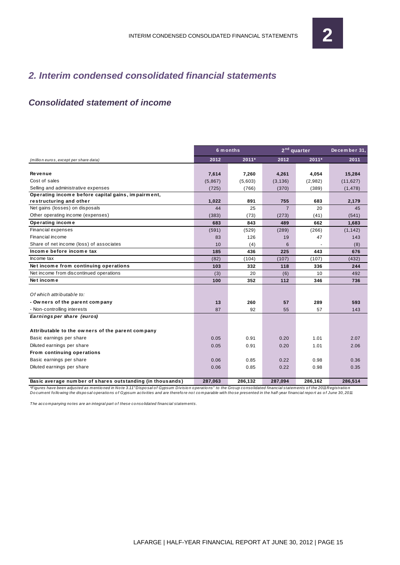# **2. Interim condensed consolidated financial statements**

# **Consolidated statement of income**

|                                                           |         | 6 m onths |                | 2 <sup>nd</sup> quarter | December 31, |
|-----------------------------------------------------------|---------|-----------|----------------|-------------------------|--------------|
| (million euros, except per share data)                    | 2012    | 2011*     | 2012           | $2011*$                 | 2011         |
|                                                           |         |           |                |                         |              |
| Revenue                                                   | 7,614   | 7.260     | 4,261          | 4,054                   | 15,284       |
| Cost of sales                                             | (5,867) | (5,603)   | (3, 136)       | (2,982)                 | (11, 627)    |
| Selling and administrative expenses                       | (725)   | (766)     | (370)          | (389)                   | (1, 478)     |
| Operating income before capital gains, impairment,        |         |           |                |                         |              |
| restructuring and other                                   | 1,022   | 891       | 755            | 683                     | 2,179        |
| Net gains (losses) on disposals                           | 44      | 25        | $\overline{7}$ | 20                      | 45           |
| Other operating income (expenses)                         | (383)   | (73)      | (273)          | (41)                    | (541)        |
| Operating income                                          | 683     | 843       | 489            | 662                     | 1,683        |
| Financial expenses                                        | (591)   | (529)     | (289)          | (266)                   | (1, 142)     |
| Financial income                                          | 83      | 126       | 19             | 47                      | 143          |
| Share of net income (loss) of associates                  | 10      | (4)       | 6              |                         | (8)          |
| Income before income tax                                  | 185     | 436       | 225            | 443                     | 676          |
| Income tax                                                | (82)    | (104)     | (107)          | (107)                   | (432)        |
| Net income from continuing operations                     | 103     | 332       | 118            | 336                     | 244          |
| Net income from discontinued operations                   | (3)     | 20        | (6)            | 10                      | 492          |
| Net income                                                | 100     | 352       | 112            | 346                     | 736          |
|                                                           |         |           |                |                         |              |
| Of which attributable to:                                 |         |           |                |                         |              |
| - Owners of the parent company                            | 13      | 260       | 57             | 289                     | 593          |
| - Non-controlling interests                               | 87      | 92        | 55             | 57                      | 143          |
| Earnings per share (euros)                                |         |           |                |                         |              |
|                                                           |         |           |                |                         |              |
| Attributable to the owners of the parent company          |         |           |                |                         |              |
| Basic earnings per share                                  | 0.05    | 0.91      | 0.20           | 1.01                    | 2.07         |
| Diluted earnings per share                                | 0.05    | 0.91      | 0.20           | 1.01                    | 2.06         |
| From continuing operations                                |         |           |                |                         |              |
| Basic earnings per share                                  | 0.06    | 0.85      | 0.22           | 0.98                    | 0.36         |
| Diluted earnings per share                                | 0.06    | 0.85      | 0.22           | 0.98                    | 0.35         |
| Basic average number of shares outstanding (in thousands) | 287,063 | 286.132   | 287.094        | 286,162                 | 286,514      |

\*Figures have been adjusted as mentioned in Note 3.11" Disposal of Gypsum Division operations" to the Group consolidated financial statements of the 2011 Registration<br>Document following the disposal operations of Gypsum ac

The acco mpanying no tes are an integral part o f these co nso lidated financial statements.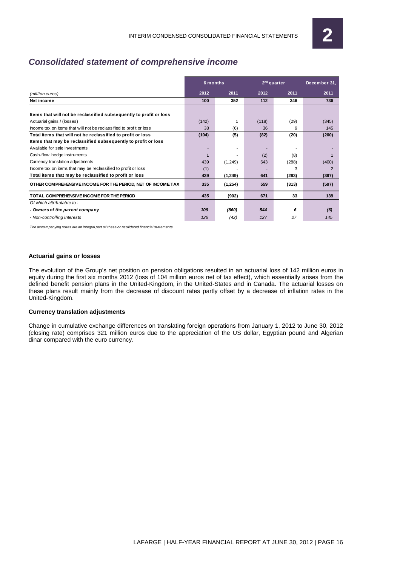# **Consolidated statement of comprehensive income**

|                                                                     | 6 months |         | $2nd$ quarter | December 31, |                |
|---------------------------------------------------------------------|----------|---------|---------------|--------------|----------------|
| (million euros)                                                     | 2012     | 2011    | 2012          | 2011         | 2011           |
| Net income                                                          | 100      | 352     | 112           | 346          | 736            |
| Items that will not be reclassified subsequently to profit or loss  |          |         |               |              |                |
| Actuarial gains / (losses)                                          | (142)    | 1       | (118)         | (29)         | (345)          |
| Income tax on items that will not be reclassified to profit or loss | 38       | (6)     | 36            | 9            | 145            |
| Total items that will not be reclassified to profit or loss         | (104)    | (5)     | (82)          | (20)         | (200)          |
| Items that may be reclassified subsequently to profit or loss       |          |         |               |              |                |
| Available for sale investments                                      |          | ٠       |               | ٠            |                |
| Cash-flow hedge instruments                                         |          |         | (2)           | (8)          |                |
| Currency translation adjustments                                    | 439      | (1,249) | 643           | (288)        | (400)          |
| Income tax on items that may be reclassified to profit or loss      | (1)      |         |               | 3            | $\overline{2}$ |
| Total items that may be reclassified to profit or loss              | 439      | (1,249) | 641           | (293)        | (397)          |
| OTHER COMPREHENSIVE INCOME FOR THE PERIOD, NET OF INCOME TAX        | 335      | (1,254) | 559           | (313)        | (597)          |
| TOTAL COMPREHENSIVE INCOME FOR THE PERIOD                           | 435      | (902)   | 671           | 33           | 139            |
| Of which attributable to:                                           |          |         |               |              |                |
| - Owners of the parent company                                      | 309      | (860)   | 544           | 6            | (6)            |
| - Non-controlling interests                                         | 126      | (42)    | 127           | 27           | 145            |

The accompanying notes are an integral part of these consolidated financial statements.

#### **Actuarial gains or losses**

The evolution of the Group's net position on pension obligations resulted in an actuarial loss of 142 million euros in equity during the first six months 2012 (loss of 104 million euros net of tax effect), which essentially arises from the defined benefit pension plans in the United-Kingdom, in the United-States and in Canada. The actuarial losses on these plans result mainly from the decrease of discount rates partly offset by a decrease of inflation rates in the United-Kingdom.

#### **Currency translation adjustments**

Change in cumulative exchange differences on translating foreign operations from January 1, 2012 to June 30, 2012 (closing rate) comprises 321 million euros due to the appreciation of the US dollar, Egyptian pound and Algerian dinar compared with the euro currency.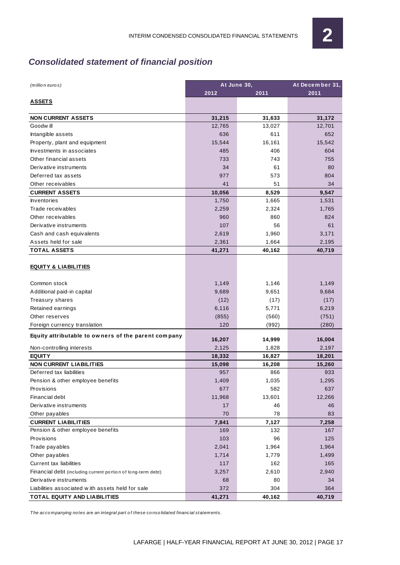# **Consolidated statement of financial position**

| (million euros)                                              | At June 30, |        | At December 31, |  |  |
|--------------------------------------------------------------|-------------|--------|-----------------|--|--|
|                                                              | 2012        | 2011   | 2011            |  |  |
| <b>ASSETS</b>                                                |             |        |                 |  |  |
| <b>NON CURRENT ASSETS</b>                                    | 31,215      | 31,633 | 31,172          |  |  |
| Goodw ill                                                    | 12,765      | 13,027 | 12,701          |  |  |
| Intangible assets                                            | 636         | 611    | 652             |  |  |
| Property, plant and equipment                                | 15,544      | 16,161 | 15,542          |  |  |
| Investments in associates                                    | 485         | 406    | 604             |  |  |
| Other financial assets                                       | 733         | 743    | 755             |  |  |
| Derivative instruments                                       | 34          | 61     | 80              |  |  |
| Deferred tax assets                                          | 977         | 573    | 804             |  |  |
| Other receivables                                            | 41          | 51     | 34              |  |  |
| <b>CURRENT ASSETS</b>                                        | 10,056      | 8,529  | 9,547           |  |  |
| <b>Inventories</b>                                           | 1,750       | 1,665  | 1,531           |  |  |
| Trade receivables                                            | 2,259       | 2,324  | 1,765           |  |  |
| Other receivables                                            | 960         | 860    | 824             |  |  |
| Derivative instruments                                       | 107         | 56     | 61              |  |  |
| Cash and cash equivalents                                    | 2,619       | 1,960  | 3,171           |  |  |
| Assets held for sale                                         | 2,361       | 1,664  | 2,195           |  |  |
| <b>TOTAL ASSETS</b>                                          | 41,271      | 40,162 | 40,719          |  |  |
| <b>EQUITY &amp; LIABILITIES</b>                              |             |        |                 |  |  |
| Common stock                                                 | 1,149       | 1,146  | 1,149           |  |  |
| Additional paid-in capital                                   | 9,689       | 9,651  | 9,684           |  |  |
| Treasury shares                                              | (12)        | (17)   | (17)            |  |  |
| Retained earnings                                            | 6,116       | 5,771  | 6,219           |  |  |
| Other reserves                                               | (855)       | (560)  | (751)           |  |  |
| Foreign currency translation                                 | 120         | (992)  | (280)           |  |  |
| Equity attributable to owners of the parent company          | 16,207      | 14,999 | 16,004          |  |  |
| Non-controlling interests                                    | 2,125       | 1,828  | 2,197           |  |  |
| <b>EQUITY</b>                                                | 18,332      | 16,827 | 18,201          |  |  |
| <b>NON CURRENT LIABILITIES</b>                               | 15,098      | 16,208 | 15,260          |  |  |
| Deferred tax liabilities                                     | 957         | 866    | 933             |  |  |
| Pension & other employee benefits                            | 1,409       | 1,035  | 1,295           |  |  |
| Provisions                                                   | 677         | 582    | 637             |  |  |
| <b>Financial debt</b>                                        | 11,968      | 13,601 | 12,266          |  |  |
| Derivative instruments                                       | 17          | 46     | 46              |  |  |
| Other payables                                               | 70          | 78     | 83              |  |  |
| <b>CURRENT LIABILITIES</b>                                   | 7,841       | 7,127  | 7,258           |  |  |
| Pension & other employee benefits                            | 169         | 132    | 167             |  |  |
| Provisions                                                   | 103         | 96     | 125             |  |  |
| Trade payables                                               | 2,041       | 1,964  | 1,964           |  |  |
| Other payables                                               | 1,714       | 1,779  | 1,499           |  |  |
| <b>Current tax liabilities</b>                               | 117         | 162    | 165             |  |  |
| Financial debt (including current portion of long-term debt) | 3,257       | 2,610  | 2,940           |  |  |
| Derivative instruments                                       | 68          | 80     | 34              |  |  |
| Liabilities associated with assets held for sale             | 372         | 304    | 364             |  |  |
| <b>TOTAL EQUITY AND LIABILITIES</b>                          | 41,271      | 40,162 | 40,719          |  |  |

The accompanying notes are an integral part of these consolidated financial statements.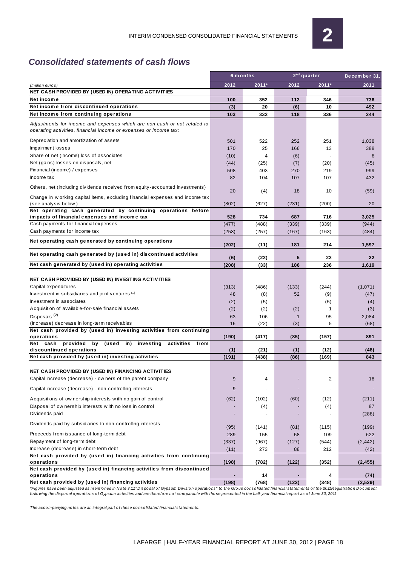# **Consolidated statements of cash flows**

|                                                                                                                                               |              | 6 m onths    | $2nd$ quarter | December 31. |              |
|-----------------------------------------------------------------------------------------------------------------------------------------------|--------------|--------------|---------------|--------------|--------------|
| (million euros)                                                                                                                               | 2012         | 2011*        | 2012          | $2011*$      | 2011         |
| NET CASH PROVIDED BY (USED IN) OPERATING ACTIVITIES                                                                                           |              |              |               |              |              |
| Net income                                                                                                                                    | 100          | 352          | 112           | 346          | 736          |
| Net income from discontinued operations                                                                                                       | (3)          | 20           | (6)           | 10           | 492          |
| Net income from continuing operations                                                                                                         | 103          | 332          | 118           | 336          | 244          |
| Adjustments for income and expenses which are non cash or not related to<br>operating activities, financial income or expenses or income tax: |              |              |               |              |              |
| Depreciation and amortization of assets                                                                                                       | 501          | 522          | 252           | 251          | 1,038        |
| Impairment losses                                                                                                                             | 170          | 25           | 166           | 13           | 388          |
| Share of net (income) loss of associates                                                                                                      | (10)         | 4            | (6)           |              | 8            |
| Net (gains) losses on disposals, net                                                                                                          | (44)         | (25)         | (7)           | (20)         | (45)         |
| Financial (income) / expenses                                                                                                                 | 508          | 403          | 270           | 219          | 999          |
| Income tax                                                                                                                                    | 82           | 104          | 107           | 107          | 432          |
| Others, net (including dividends received from equity-accounted investments)                                                                  |              |              |               |              |              |
|                                                                                                                                               | 20           | (4)          | 18            | 10           | (59)         |
| Change in w orking capital items, excluding financial expenses and income tax                                                                 |              |              |               |              |              |
| (see analysis below)<br>Net operating cash generated by continuing operations before                                                          | (802)        | (627)        | (231)         | (200)        | 20           |
| impacts of financial expenses and income tax                                                                                                  | 528          | 734          | 687           | 716          | 3,025        |
| Cash payments for financial expenses                                                                                                          | (477)        | (488)        | (339)         | (339)        | (944)        |
| Cash payments for income tax                                                                                                                  | (253)        | (257)        | (167)         | (163)        | (484)        |
|                                                                                                                                               |              |              |               |              |              |
| Net operating cash generated by continuing operations                                                                                         | (202)        | (11)         | 181           | 214          | 1,597        |
| Net operating cash generated by (used in) discontinued activities                                                                             |              |              | 5             | 22           | 22           |
| Net cash generated by (used in) operating activities                                                                                          | (6)<br>(208) | (22)<br>(33) | 186           | 236          | 1,619        |
|                                                                                                                                               |              |              |               |              |              |
| NET CASH PROVIDED BY (USED IN) INVESTING ACTIVITIES                                                                                           |              |              |               |              |              |
| Capital expenditures                                                                                                                          | (313)        | (486)        | (133)         | (244)        | (1,071)      |
| Investment in subsidiaries and joint ventures (1)                                                                                             | 48           | (8)          | 52            | (9)          | (47)         |
| Investment in associates                                                                                                                      | (2)          | (5)          |               | (5)          | (4)          |
| Acquisition of available-for-sale financial assets                                                                                            | (2)          | (2)          | (2)           | $\mathbf{1}$ | (3)          |
| Disposals <sup>(2)</sup>                                                                                                                      | 63           | 106          | $\mathbf{1}$  | 95           | 2,084        |
| (Increase) decrease in long-term receivables                                                                                                  | 16           | (22)         | (3)           | 5            | (68)         |
| Net cash provided by (used in) investing activities from continuing                                                                           |              |              |               |              |              |
| operations                                                                                                                                    | (190)        | (417)        | (85)          | (157)        | 891          |
| provided<br>by<br>(used in) investing<br>Net cash<br>activities from                                                                          |              |              |               |              |              |
| discountinued operations                                                                                                                      | (1)          | (21)         | (1)           | (12)         | (48)         |
| Net cash provided by (used in) investing activities                                                                                           | (191)        | (438)        | (86)          | (169)        | 843          |
|                                                                                                                                               |              |              |               |              |              |
| NET CASH PROVIDED BY (USED IN) FINANCING ACTIVITIES                                                                                           |              |              |               |              |              |
| Capital increase (decrease) - ow ners of the parent company                                                                                   | 9            | 4            |               | 2            | 18           |
| Capital increase (decrease) - non-controlling interests                                                                                       | 9            | ٠            |               |              |              |
| Acquisitions of ow nership interests with no gain of control                                                                                  | (62)         | (102)        | (60)          | (12)         | (211)        |
| Disposal of ow nership interests with no loss in control                                                                                      |              | (4)          |               | (4)          | 87           |
| Dividends paid                                                                                                                                |              |              |               |              | (288)        |
| Dividends paid by subsidiaries to non-controlling interests                                                                                   |              |              |               |              |              |
| Proceeds from issuance of long-term debt                                                                                                      | (95)<br>289  | (141)<br>155 | (81)<br>58    | (115)<br>109 | (199)<br>622 |
| Repayment of long-term debt                                                                                                                   | (337)        | (967)        | (127)         | (544)        | (2, 442)     |
| Increase (decrease) in short-term debt                                                                                                        | (11)         | 273          | 88            | 212          | (42)         |
| Net cash provided by (used in) financing activities from continuing                                                                           |              |              |               |              |              |
| operations                                                                                                                                    | (198)        | (782)        | (122)         | (352)        | (2, 455)     |
| Net cash provided by (used in) financing activities from discontinued                                                                         |              |              |               |              |              |
| operations                                                                                                                                    |              | 14           |               | 4            | (74)         |
| Net cash provided by (used in) financing activities                                                                                           | (198)        | (768)        | (122)         | (348)        | (2, 529)     |

\*Figures have been adjusted as mentioned in Note 3.1.1"Disposal of Gypsum Division operations" to the Group consolidated financial statements of the 2011 Registration Document<br>following the disposal operations of Gypsum ac

The accompanying notes are an integral part of these consolidated financial statements.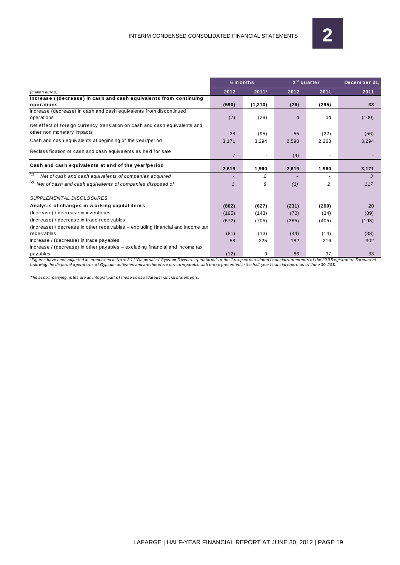|                                                                                    |                | 6 m onths | $2nd$ quarter | December 31, |              |
|------------------------------------------------------------------------------------|----------------|-----------|---------------|--------------|--------------|
| $(m$ illio n euro s)                                                               | 2012           | 2011*     | 2012          | 2011         | 2011         |
| Increase / (decrease) in cash and cash equivalents from continuing                 |                |           |               |              |              |
| operations                                                                         | (590)          | (1, 210)  | (26)          | (295)        | 33           |
| Increase (decrease) in cash and cash equivalents from discontinued                 |                |           |               |              |              |
| operations                                                                         | (7)            | (29)      | 4             | 14           | (100)        |
| Net effect of foreign currency translation on cash and cash equivalents and        |                |           |               |              |              |
| other non monetary impacts                                                         | 38             | (95)      | 55            | (22)         | (56)         |
| Cash and cash equivalents at beginning of the year/period                          | 3,171          | 3,294     | 2,590         | 2,263        | 3,294        |
| Reclassification of cash and cash equivalents as held for sale                     |                |           |               |              |              |
|                                                                                    | $\overline{7}$ |           | (4)           |              |              |
| Cash and cash equivalents at end of the year/period                                |                |           |               |              |              |
|                                                                                    | 2,619          | 1,960     | 2,619         | 1,960        | 3,171        |
| (1)<br>Net of cash and cash equivalents of companies acquired                      |                | 2         |               |              | $\mathbf{3}$ |
| <sup>(2)</sup> Net of cash and cash equivalents of companies disposed of           |                | 8         | (1)           | 2            | 117          |
| SUPPLEMENTAL DISCLOSURES                                                           |                |           |               |              |              |
| Analysis of changes in working capital items                                       | (802)          | (627)     | (231)         | (200)        | 20           |
| (Increase) / decrease in inventories                                               | (195)          | (143)     | (70)          | (34)         | (89)         |
| (Increase) / decrease in trade receivables                                         | (572)          | (705)     | (385)         | (405)        | (193)        |
| (Increase) / decrease in other receivables – excluding financial and income tax    |                |           |               |              |              |
| receivables                                                                        | (81)           | (13)      | (44)          | (14)         | (33)         |
| Increase / (decrease) in trade payables                                            | 58             | 225       | 182           | 216          | 302          |
| $h$ increase / (decrease) in other payables $-$ excluding financial and income tax |                |           |               |              |              |
| payables                                                                           | (12)           | 9         | 86            | 37           | 33           |

\*Figures have been adjusted as mentioned in Note 3.1.1"Disposal of Gypsum Division operations" to the Group consolidated financial statements of the 2011 Registration Document<br>following the disposal operations of Gypsum ac

The acco mpanying no tes are an integral part o f these co nso lidated financial statements.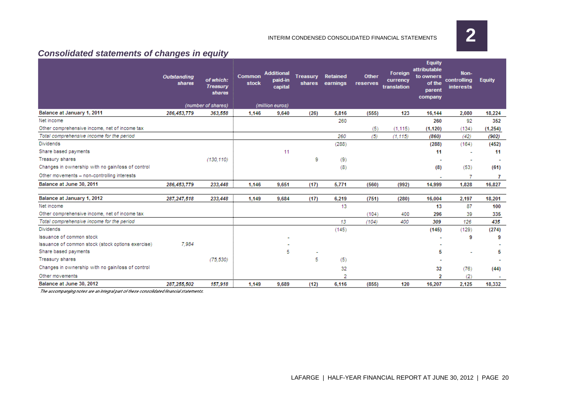**2**

#### INTERIM CONDENSED CONSOLIDATED FINANCIAL STATEMENTS

# **Consolidated statements of changes in equity**

|                                                   | <b>Outstanding</b><br>shares | of which:<br><b>Treasury</b><br>shares | Common<br>stock | <b>Additional</b><br>paid-in<br>capital | <b>Treasury</b><br>shares | Retained<br>earnings | Other<br>reserves | <b>Foreign</b><br>currency<br>translation | <b>Equity</b><br>attributable<br>to owners<br>of the<br>parent<br>company | Non-<br>controlling<br><b>interests</b> | <b>Equity</b> |
|---------------------------------------------------|------------------------------|----------------------------------------|-----------------|-----------------------------------------|---------------------------|----------------------|-------------------|-------------------------------------------|---------------------------------------------------------------------------|-----------------------------------------|---------------|
|                                                   |                              | (number of shares)                     |                 | (million euros)                         |                           |                      |                   |                                           |                                                                           |                                         |               |
| Balance at January 1, 2011                        | 286,453,779                  | 363,558                                | 1,146           | 9.640                                   | (26)                      | 5,816                | (555)             | 123                                       | 16,144                                                                    | 2,080                                   | 18,224        |
| Net income                                        |                              |                                        |                 |                                         |                           | 260                  |                   |                                           | 260                                                                       | 92                                      | 352           |
| Other comprehensive income, net of income tax     |                              |                                        |                 |                                         |                           |                      | (5)               | (1.115)                                   | (1, 120)                                                                  | (134)                                   | (1, 254)      |
| Total comprehensive income for the period         |                              |                                        |                 |                                         |                           | 260                  | (5)               | (1.115)                                   | (860)                                                                     | (42)                                    | (902)         |
| <b>Dividends</b>                                  |                              |                                        |                 |                                         |                           | (288)                |                   |                                           | (288)                                                                     | (164)                                   | (452)         |
| Share based payments                              |                              |                                        |                 | 11                                      |                           |                      |                   |                                           | 11                                                                        |                                         | 11            |
| Treasury shares                                   |                              | (130, 110)                             |                 |                                         | 9                         | (9)                  |                   |                                           |                                                                           |                                         |               |
| Changes in ownership with no gain/loss of control |                              |                                        |                 |                                         |                           | (8)                  |                   |                                           | (8)                                                                       | (53)                                    | (61)          |
| Other movements - non-controlling interests       |                              |                                        |                 |                                         |                           |                      |                   |                                           |                                                                           |                                         | 7             |
| Balance at June 30, 2011                          | 286,453,779                  | 233,448                                | 1,146           | 9.651                                   | (17)                      | 5,771                | (560)             | (992)                                     | 14,999                                                                    | 1.828                                   | 16,827        |
|                                                   |                              |                                        |                 |                                         |                           |                      |                   |                                           |                                                                           |                                         |               |
| Balance at January 1, 2012                        | 287,247,518                  | 233,448                                | 1,149           | 9,684                                   | (17)                      | 6,219                | (751)             | (280)                                     | 16,004                                                                    | 2,197                                   | 18,201        |
| Net income                                        |                              |                                        |                 |                                         |                           | 13                   |                   |                                           | 13                                                                        | 87                                      | 100           |
| Other comprehensive income, net of income tax     |                              |                                        |                 |                                         |                           |                      | (104)             | 400                                       | 296                                                                       | 39                                      | 335           |
| Total comprehensive income for the period         |                              |                                        |                 |                                         |                           | 13                   | (104)             | 400                                       | 309                                                                       | 126                                     | 435           |
| <b>Dividends</b>                                  |                              |                                        |                 |                                         |                           | (145)                |                   |                                           | (145)                                                                     | (129)                                   | (274)         |
| Issuance of common stock                          |                              |                                        |                 |                                         |                           |                      |                   |                                           |                                                                           | 9                                       | 9             |
| Issuance of common stock (stock options exercise) | 7.984                        |                                        |                 |                                         |                           |                      |                   |                                           |                                                                           |                                         |               |
| Share based payments                              |                              |                                        |                 | 5                                       |                           |                      |                   |                                           | 5                                                                         |                                         | 5             |
| Treasury shares                                   |                              | (75, 530)                              |                 |                                         | 5                         | (5)                  |                   |                                           | ٠                                                                         |                                         |               |
| Changes in ownership with no gain/loss of control |                              |                                        |                 |                                         |                           | 32                   |                   |                                           | 32                                                                        | (76)                                    | (44)          |
| Other movements                                   |                              |                                        |                 |                                         |                           | 2                    |                   |                                           | 2                                                                         | (2)                                     |               |
| Balance at June 30, 2012                          | 287,255,502                  | 157,918                                | 1,149           | 9.689                                   | (12)                      | 6,116                | (855)             | 120                                       | 16,207                                                                    | 2,125                                   | 18,332        |

The accompanying notes are an integral part of these consolidated financial statements.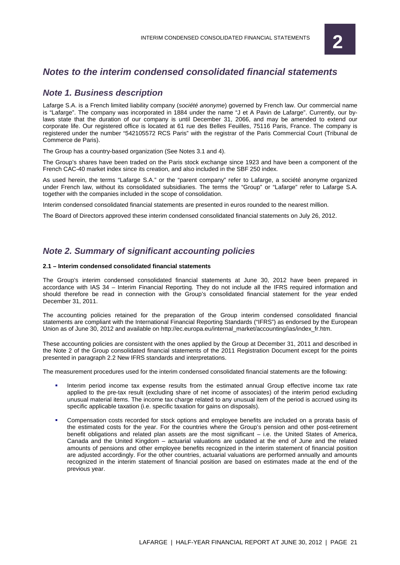

# **Notes to the interim condensed consolidated financial statements**

## **Note 1. Business description**

Lafarge S.A. is a French limited liability company (société anonyme) governed by French law. Our commercial name is "Lafarge". The company was incorporated in 1884 under the name "J et A Pavin de Lafarge". Currently, our bylaws state that the duration of our company is until December 31, 2066, and may be amended to extend our corporate life. Our registered office is located at 61 rue des Belles Feuilles, 75116 Paris, France. The company is registered under the number "542105572 RCS Paris" with the registrar of the Paris Commercial Court (Tribunal de Commerce de Paris).

The Group has a country-based organization (See Notes 3.1 and 4).

The Group's shares have been traded on the Paris stock exchange since 1923 and have been a component of the French CAC-40 market index since its creation, and also included in the SBF 250 index.

As used herein, the terms "Lafarge S.A." or the "parent company" refer to Lafarge, a société anonyme organized under French law, without its consolidated subsidiaries. The terms the "Group" or "Lafarge" refer to Lafarge S.A. together with the companies included in the scope of consolidation.

Interim condensed consolidated financial statements are presented in euros rounded to the nearest million.

The Board of Directors approved these interim condensed consolidated financial statements on July 26, 2012.

## **Note 2. Summary of significant accounting policies**

#### **2.1 – Interim condensed consolidated financial statements**

The Group's interim condensed consolidated financial statements at June 30, 2012 have been prepared in accordance with IAS 34 – Interim Financial Reporting. They do not include all the IFRS required information and should therefore be read in connection with the Group's consolidated financial statement for the year ended December 31, 2011.

The accounting policies retained for the preparation of the Group interim condensed consolidated financial statements are compliant with the International Financial Reporting Standards ("IFRS") as endorsed by the European Union as of June 30, 2012 and available on http://ec.europa.eu/internal\_market/accounting/ias/index\_fr.htm.

These accounting policies are consistent with the ones applied by the Group at December 31, 2011 and described in the Note 2 of the Group consolidated financial statements of the 2011 Registration Document except for the points presented in paragraph 2.2 New IFRS standards and interpretations.

The measurement procedures used for the interim condensed consolidated financial statements are the following:

- Interim period income tax expense results from the estimated annual Group effective income tax rate applied to the pre-tax result (excluding share of net income of associates) of the interim period excluding unusual material items. The income tax charge related to any unusual item of the period is accrued using its specific applicable taxation (i.e. specific taxation for gains on disposals).
- Compensation costs recorded for stock options and employee benefits are included on a prorata basis of the estimated costs for the year. For the countries where the Group's pension and other post-retirement benefit obligations and related plan assets are the most significant – i.e. the United States of America, Canada and the United Kingdom – actuarial valuations are updated at the end of June and the related amounts of pensions and other employee benefits recognized in the interim statement of financial position are adjusted accordingly. For the other countries, actuarial valuations are performed annually and amounts recognized in the interim statement of financial position are based on estimates made at the end of the previous year.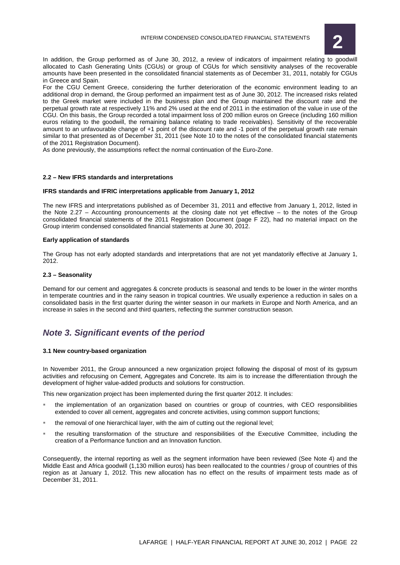

In addition, the Group performed as of June 30, 2012, a review of indicators of impairment relating to goodwill allocated to Cash Generating Units (CGUs) or group of CGUs for which sensitivity analyses of the recoverable amounts have been presented in the consolidated financial statements as of December 31, 2011, notably for CGUs in Greece and Spain.

For the CGU Cement Greece, considering the further deterioration of the economic environment leading to an additional drop in demand, the Group performed an impairment test as of June 30, 2012. The increased risks related to the Greek market were included in the business plan and the Group maintained the discount rate and the perpetual growth rate at respectively 11% and 2% used at the end of 2011 in the estimation of the value in use of the CGU. On this basis, the Group recorded a total impairment loss of 200 million euros on Greece (including 160 million euros relating to the goodwill, the remaining balance relating to trade receivables). Sensitivity of the recoverable amount to an unfavourable change of +1 point of the discount rate and -1 point of the perpetual growth rate remain similar to that presented as of December 31, 2011 (see Note 10 to the notes of the consolidated financial statements of the 2011 Registration Document).

As done previously, the assumptions reflect the normal continuation of the Euro-Zone.

#### **2.2 – New IFRS standards and interpretations**

#### **IFRS standards and IFRIC interpretations applicable from January 1, 2012**

The new IFRS and interpretations published as of December 31, 2011 and effective from January 1, 2012, listed in the Note 2.27 – Accounting pronouncements at the closing date not yet effective – to the notes of the Group consolidated financial statements of the 2011 Registration Document (page F 22), had no material impact on the Group interim condensed consolidated financial statements at June 30, 2012.

#### **Early application of standards**

The Group has not early adopted standards and interpretations that are not yet mandatorily effective at January 1, 2012.

#### **2.3 – Seasonality**

Demand for our cement and aggregates & concrete products is seasonal and tends to be lower in the winter months in temperate countries and in the rainy season in tropical countries. We usually experience a reduction in sales on a consolidated basis in the first quarter during the winter season in our markets in Europe and North America, and an increase in sales in the second and third quarters, reflecting the summer construction season.

## **Note 3. Significant events of the period**

#### **3.1 New country-based organization**

In November 2011, the Group announced a new organization project following the disposal of most of its gypsum activities and refocusing on Cement, Aggregates and Concrete. Its aim is to increase the differentiation through the development of higher value-added products and solutions for construction.

This new organization project has been implemented during the first quarter 2012. It includes:

- the implementation of an organization based on countries or group of countries, with CEO responsibilities extended to cover all cement, aggregates and concrete activities, using common support functions;
- the removal of one hierarchical layer, with the aim of cutting out the regional level;
- the resulting transformation of the structure and responsibilities of the Executive Committee, including the creation of a Performance function and an Innovation function.

Consequently, the internal reporting as well as the segment information have been reviewed (See Note 4) and the Middle East and Africa goodwill (1,130 million euros) has been reallocated to the countries / group of countries of this region as at January 1, 2012. This new allocation has no effect on the results of impairment tests made as of December 31, 2011.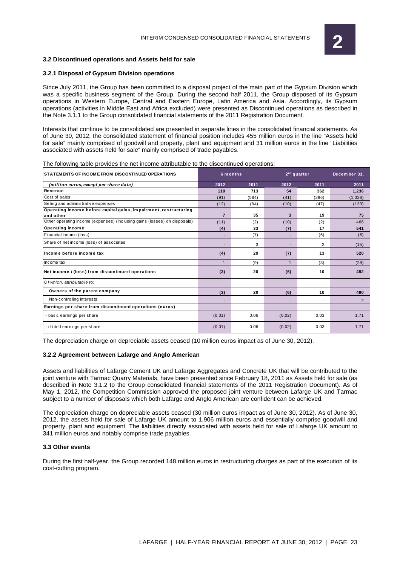

#### **3.2 Discontinued operations and Assets held for sale**

#### **3.2.1 Disposal of Gypsum Division operations**

Since July 2011, the Group has been committed to a disposal project of the main part of the Gypsum Division which was a specific business segment of the Group. During the second half 2011, the Group disposed of its Gypsum operations in Western Europe, Central and Eastern Europe, Latin America and Asia. Accordingly, its Gypsum operations (activities in Middle East and Africa excluded) were presented as Discontinued operations as described in the Note 3.1.1 to the Group consolidated financial statements of the 2011 Registration Document.

Interests that continue to be consolidated are presented in separate lines in the consolidated financial statements. As of June 30, 2012, the consolidated statement of financial position includes 455 million euros in the line "Assets held for sale" mainly comprised of goodwill and property, plant and equipment and 31 million euros in the line "Liabilities associated with assets held for sale" mainly comprised of trade payables.

The following table provides the net income attributable to the discontinued operations:

| STATEM ENTS OF INCOME FROM DISCONTINUED OPERATIONS                            |                          | 6 m onths |              | $2nd$ quarter  | December 31,   |
|-------------------------------------------------------------------------------|--------------------------|-----------|--------------|----------------|----------------|
| (million euros, except per share data)                                        | 2012                     | 2011      | 2012         | 2011           | 2011           |
| Revenue                                                                       | 110                      | 713       | 54           | 362            | 1,236          |
| Cost of sales                                                                 | (91)                     | (584)     | (41)         | (296)          | (1,028)        |
| Selling and administrative expenses                                           | (12)                     | (94)      | (10)         | (47)           | (133)          |
| Operating income before capital gains, impairment, restructuring<br>and other | $\overline{7}$           | 35        | 3            | 19             | 75             |
| Other operating income (expenses) (including gains (losses) on disposals)     | (11)                     | (2)       | (10)         | (2)            | 466            |
| Operating income                                                              | (4)                      | 33        | (7)          | 17             | 541            |
| Financial income (loss)                                                       |                          | (7)       |              | (6)            | (6)            |
| Share of net income (loss) of associates                                      | $\overline{\phantom{a}}$ | 3         |              | $\overline{2}$ | (15)           |
| Income before income tax                                                      | (4)                      | 29        | (7)          | 13             | 520            |
| Income tax                                                                    | $\overline{1}$           | (9)       | $\mathbf{1}$ | (3)            | (28)           |
| Net income / (loss) from discontinued operations                              | (3)                      | 20        | (6)          | 10             | 492            |
| Of which, attributable to:                                                    |                          |           |              |                |                |
| Owners of the parent company                                                  | (3)                      | 20        | (6)          | 10             | 490            |
| Non-controlling interests                                                     |                          |           |              | $\overline{a}$ | $\overline{2}$ |
| Earnings per share from discontinued operations (euros)                       |                          |           |              |                |                |
| - basic earnings per share                                                    | (0.01)                   | 0.06      | (0.02)       | 0.03           | 1.71           |
| - diluted earnings per share                                                  | (0.01)                   | 0.06      | (0.02)       | 0.03           | 1.71           |

The depreciation charge on depreciable assets ceased (10 million euros impact as of June 30, 2012).

#### **3.2.2 Agreement between Lafarge and Anglo American**

Assets and liabilities of Lafarge Cement UK and Lafarge Aggregates and Concrete UK that will be contributed to the joint venture with Tarmac Quarry Materials, have been presented since February 18, 2011 as Assets held for sale (as described in Note 3.1.2 to the Group consolidated financial statements of the 2011 Registration Document). As of May 1, 2012, the Competition Commission approved the proposed joint venture between Lafarge UK and Tarmac subject to a number of disposals which both Lafarge and Anglo American are confident can be achieved.

The depreciation charge on depreciable assets ceased (30 million euros impact as of June 30, 2012). As of June 30, 2012, the assets held for sale of Lafarge UK amount to 1,906 million euros and essentially comprise goodwill and property, plant and equipment. The liabilities directly associated with assets held for sale of Lafarge UK amount to 341 million euros and notably comprise trade payables.

#### **3.3 Other events**

During the first half-year, the Group recorded 148 million euros in restructuring charges as part of the execution of its cost-cutting program.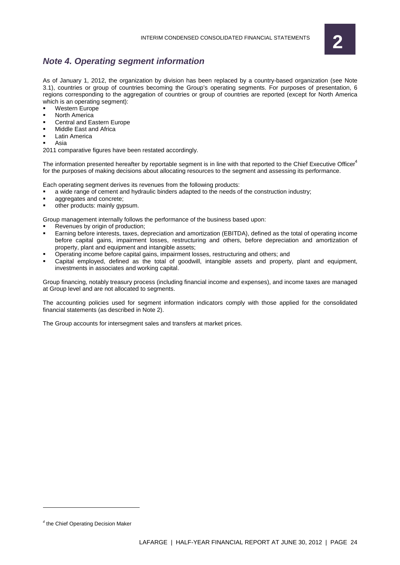

# **Note 4. Operating segment information**

As of January 1, 2012, the organization by division has been replaced by a country-based organization (see Note 3.1), countries or group of countries becoming the Group's operating segments. For purposes of presentation, 6 regions corresponding to the aggregation of countries or group of countries are reported (except for North America which is an operating segment):

- Western Europe
- North America
- Central and Eastern Europe
- Middle East and Africa
- Latin America
- Asia

2011 comparative figures have been restated accordingly.

The information presented hereafter by reportable segment is in line with that reported to the Chief Executive Officer<sup>4</sup> for the purposes of making decisions about allocating resources to the segment and assessing its performance.

Each operating segment derives its revenues from the following products:

- a wide range of cement and hydraulic binders adapted to the needs of the construction industry;
- aggregates and concrete;
- other products: mainly gypsum.

Group management internally follows the performance of the business based upon:

- Revenues by origin of production:
- Earning before interests, taxes, depreciation and amortization (EBITDA), defined as the total of operating income before capital gains, impairment losses, restructuring and others, before depreciation and amortization of property, plant and equipment and intangible assets;
- Operating income before capital gains, impairment losses, restructuring and others; and
- Capital employed, defined as the total of goodwill, intangible assets and property, plant and equipment, investments in associates and working capital.

Group financing, notably treasury process (including financial income and expenses), and income taxes are managed at Group level and are not allocated to segments.

The accounting policies used for segment information indicators comply with those applied for the consolidated financial statements (as described in Note 2).

The Group accounts for intersegment sales and transfers at market prices.

 $\overline{a}$ 

<sup>&</sup>lt;sup>4</sup> the Chief Operating Decision Maker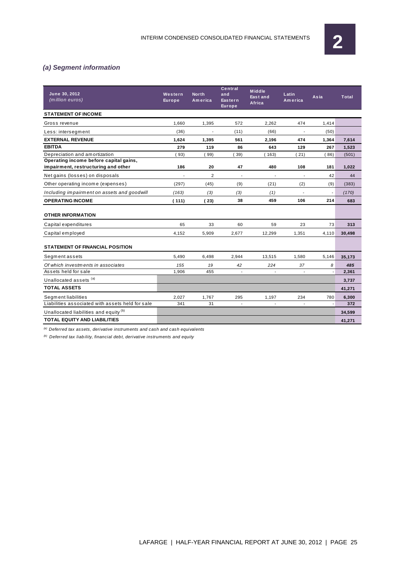

# **(a) Segment information**

| June 30, 2012<br>(million euros)                                              | Western<br><b>Europe</b> | <b>North</b><br>America | Central<br>and<br>Eastern<br><b>Europe</b> | <b>Middle</b><br>East and<br>Africa | Latin<br>America         | Asia  | <b>Total</b> |
|-------------------------------------------------------------------------------|--------------------------|-------------------------|--------------------------------------------|-------------------------------------|--------------------------|-------|--------------|
| <b>STATEMENT OF INCOME</b>                                                    |                          |                         |                                            |                                     |                          |       |              |
| Gross revenue                                                                 | 1,660                    | 1,395                   | 572                                        | 2,262                               | 474                      | 1,414 |              |
| Less: intersegment                                                            | (36)                     | $\overline{a}$          | (11)                                       | (66)                                | $\overline{a}$           | (50)  |              |
| <b>EXTERNAL REVENUE</b>                                                       | 1.624                    | 1,395                   | 561                                        | 2,196                               | 474                      | 1,364 | 7,614        |
| <b>EBITDA</b>                                                                 | 279                      | 119                     | 86                                         | 643                                 | 129                      | 267   | 1,523        |
| Depreciation and amortization                                                 | 93)                      | 99)                     | 39)                                        | 163)                                | 21)                      | 86)   | (501)        |
| Operating income before capital gains,<br>impairment, restructuring and other | 186                      | 20                      | 47                                         | 480                                 | 108                      | 181   | 1,022        |
| Net gains (losses) on disposals                                               | $\overline{a}$           | $\overline{2}$          | $\overline{\phantom{a}}$                   | $\overline{a}$                      | $\overline{\phantom{a}}$ | 42    | 44           |
| Other operating income (expenses)                                             | (297)                    | (45)                    | (9)                                        | (21)                                | (2)                      | (9)   | (383)        |
| Including impairment on assets and goodwill                                   | (163)                    | (3)                     | (3)                                        | (1)                                 |                          |       | (170)        |
| <b>OPERATING INCOME</b>                                                       | (111)                    | (23)                    | 38                                         | 459                                 | 106                      | 214   | 683          |
| <b>OTHER INFORMATION</b>                                                      |                          |                         |                                            |                                     |                          |       |              |
| Capital expenditures                                                          | 65                       | 33                      | 60                                         | 59                                  | 23                       | 73    | 313          |
| Capital employed                                                              | 4,152                    | 5,909                   | 2,677                                      | 12,299                              | 1,351                    | 4,110 | 30,498       |
| <b>STATEMENT OF FINANCIAL POSITION</b>                                        |                          |                         |                                            |                                     |                          |       |              |
| Segment assets                                                                | 5.490                    | 6,498                   | 2,944                                      | 13,515                              | 1,580                    | 5,146 | 35,173       |
| Of which investments in associates                                            | 155                      | 19                      | 42                                         | 224                                 | 37                       | 8     | 485          |
| Assets held for sale                                                          | 1,906                    | 455                     | $\sim$                                     | $\overline{a}$                      | $\overline{a}$           |       | 2,361        |
| Unallocated assets (a)                                                        |                          |                         |                                            |                                     |                          |       | 3,737        |
| <b>TOTAL ASSETS</b>                                                           |                          |                         |                                            |                                     |                          |       | 41,271       |
| Segment liabilities                                                           | 2,027                    | 1,767                   | 295                                        | 1,197                               | 234                      | 780   | 6,300        |
| Liabilities associated with assets held for sale                              | 341                      | 31                      | $\overline{\phantom{a}}$                   | $\overline{\phantom{a}}$            | $\mathbf{r}$             |       | 372          |
| Unallocated liabilities and equity <sup>(b)</sup>                             |                          |                         |                                            |                                     |                          |       | 34,599       |
| <b>TOTAL EQUITY AND LIABILITIES</b>                                           |                          |                         |                                            |                                     |                          |       | 41,271       |

 $^{(a)}$  Deferred tax assets, derivative instruments and cash and cash equivalents

 $\left( b\right)$  Deferred tax liability, financial debt, derivative instruments and equity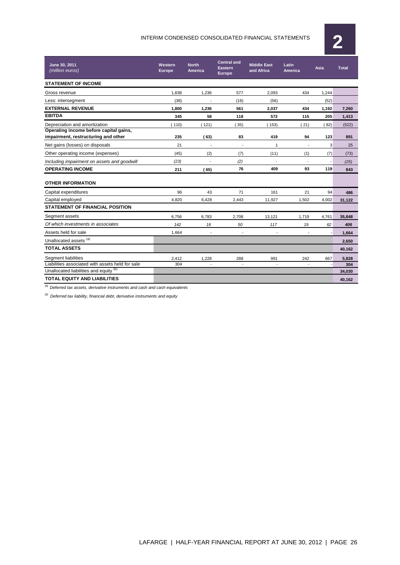# INTERIM CONDENSED CONSOLIDATED FINANCIAL STATEMENTS **2**



| June 30, 2011<br>(million euros)                 | Western<br>Europe | <b>North</b><br><b>America</b> | <b>Central and</b><br><b>Eastern</b><br><b>Europe</b> | <b>Middle East</b><br>and Africa | Latin<br><b>America</b> | Asia           | <b>Total</b> |
|--------------------------------------------------|-------------------|--------------------------------|-------------------------------------------------------|----------------------------------|-------------------------|----------------|--------------|
| <b>STATEMENT OF INCOME</b>                       |                   |                                |                                                       |                                  |                         |                |              |
| Gross revenue                                    | 1,838             | 1,236                          | 577                                                   | 2,093                            | 434                     | 1,244          |              |
| Less: intersegment                               | (38)              |                                | (16)                                                  | (56)                             |                         | (52)           |              |
| <b>EXTERNAL REVENUE</b>                          | 1,800             | 1,236                          | 561                                                   | 2,037                            | 434                     | 1,192          | 7,260        |
| <b>EBITDA</b>                                    | 345               | 58                             | 118                                                   | 572                              | 115                     | 205            | 1,413        |
| Depreciation and amortization                    | 110               | 121)                           | 35)                                                   | 153)                             | 21)                     | 82)            | (522)        |
| Operating income before capital gains,           |                   |                                |                                                       |                                  |                         |                |              |
| impairment, restructuring and other              | 235               | 63)                            | 83                                                    | 419                              | 94                      | 123            | 891          |
| Net gains (losses) on disposals                  | 21                | $\blacksquare$                 | $\overline{\phantom{a}}$                              | 1                                | ÷,                      | 3              | 25           |
| Other operating income (expenses)                | (45)              | (2)                            | (7)                                                   | (11)                             | (1)                     | (7)            | (73)         |
| Including impairment on assets and goodwill      | (23)              |                                | (2)                                                   | $\overline{\phantom{a}}$         | $\overline{a}$          | $\overline{a}$ | (25)         |
| <b>OPERATING INCOME</b>                          | 211               | (65)                           | 76                                                    | 409                              | 93                      | 119            | 843          |
| <b>OTHER INFORMATION</b>                         |                   |                                |                                                       |                                  |                         |                |              |
| Capital expenditures                             | 96                | 43                             | 71                                                    | 161                              | 21                      | 94             | 486          |
| Capital employed                                 | 4,820             | 6,428                          | 2,443                                                 | 11,927                           | 1,502                   | 4,002          | 31,122       |
| <b>STATEMENT OF FINANCIAL POSITION</b>           |                   |                                |                                                       |                                  |                         |                |              |
| Segment assets                                   | 6.756             | 6.783                          | 2.708                                                 | 13.121                           | 1.719                   | 4,761          | 35,848       |
| Of which investments in associates               | 142               | 16                             | 50                                                    | 117                              | 19                      | 62             | 406          |
| Assets held for sale                             | 1,664             | $\overline{\phantom{a}}$       | $\blacksquare$                                        | $\overline{a}$                   | $\blacksquare$          |                | 1,664        |
| Unallocated assets <sup>(a)</sup>                |                   |                                |                                                       |                                  |                         |                | 2,650        |
| <b>TOTAL ASSETS</b>                              |                   |                                |                                                       |                                  |                         |                | 40,162       |
| Segment liabilities                              | 2,412             | 1,228                          | 288                                                   | 991                              | 242                     | 667            | 5,828        |
| Liabilities associated with assets held for sale | 304               |                                | $\blacksquare$                                        | $\overline{a}$                   |                         |                | 304          |
| Unallocated liabilities and equity (b)           |                   |                                |                                                       |                                  |                         |                | 34,030       |
| <b>TOTAL EQUITY AND LIABILITIES</b>              |                   |                                |                                                       |                                  |                         |                | 40.162       |

 $\overline{a}$  Deferred tax assets, derivative instruments and cash and cash equivalents

 $\overset{(b)}{}$  Deferred tax liability, financial debt, derivative instruments and equity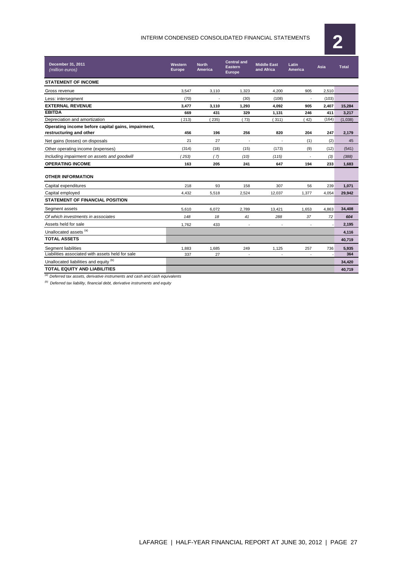# INTERIM CONDENSED CONSOLIDATED FINANCIAL STATEMENTS **2**



| December 31, 2011<br>(million euros)                                          | Western<br><b>Europe</b> | <b>North</b><br>America | <b>Central and</b><br><b>Eastern</b><br><b>Europe</b> | <b>Middle East</b><br>and Africa | Latin<br>America         |       | <b>Total</b> |
|-------------------------------------------------------------------------------|--------------------------|-------------------------|-------------------------------------------------------|----------------------------------|--------------------------|-------|--------------|
| <b>STATEMENT OF INCOME</b>                                                    |                          |                         |                                                       |                                  |                          |       |              |
| Gross revenue                                                                 | 3,547                    | 3,110                   | 1,323                                                 | 4,200                            | 905                      | 2,510 |              |
| Less: intersegment                                                            | (70)                     |                         | (30)                                                  | (108)                            | $\overline{\phantom{a}}$ | (103) |              |
| <b>EXTERNAL REVENUE</b>                                                       | 3,477                    | 3.110                   | 1.293                                                 | 4,092                            | 905                      | 2,407 | 15.284       |
| <b>EBITDA</b>                                                                 | 669                      | 431                     | 329                                                   | 1,131                            | 246                      | 411   | 3,217        |
| Depreciation and amortization                                                 | 213)                     | 235)                    | (73)                                                  | 311)                             | 42)                      | (164) | (1,038)      |
| Operating income before capital gains, impairment,<br>restructuring and other | 456                      | 196                     | 256                                                   | 820                              | 204                      | 247   | 2,179        |
| Net gains (losses) on disposals                                               | 21                       | 27                      |                                                       |                                  | (1)                      | (2)   | 45           |
| Other operating income (expenses)                                             | (314)                    | (18)                    | (15)                                                  | (173)                            | (9)                      | (12)  | (541)        |
| Including impairment on assets and goodwill                                   | (253)                    | (7)                     | (10)                                                  | (115)                            |                          | (3)   | (388)        |
| <b>OPERATING INCOME</b>                                                       | 163                      | 205                     | 241                                                   | 647                              | 194                      | 233   | 1,683        |
| <b>OTHER INFORMATION</b>                                                      |                          |                         |                                                       |                                  |                          |       |              |
| Capital expenditures                                                          | 218                      | 93                      | 158                                                   | 307                              | 56                       | 239   | 1,071        |
| Capital employed                                                              | 4,432                    | 5,518                   | 2,524                                                 | 12,037                           | 1,377                    | 4,054 | 29.942       |
| <b>STATEMENT OF FINANCIAL POSITION</b>                                        |                          |                         |                                                       |                                  |                          |       |              |
| Segment assets                                                                | 5,610                    | 6,072                   | 2,789                                                 | 13,421                           | 1,653                    | 4,863 | 34,408       |
| Of which investments in associates                                            | 148                      | 18                      | 41                                                    | 288                              | 37                       | 72    | 604          |
| Assets held for sale                                                          | 1,762                    | 433                     | $\blacksquare$                                        |                                  | $\overline{\phantom{a}}$ |       | 2,195        |
| Unallocated assets (a)                                                        |                          |                         |                                                       |                                  |                          |       | 4,116        |
| <b>TOTAL ASSETS</b>                                                           |                          |                         |                                                       |                                  |                          |       | 40,719       |
| Segment liabilities                                                           | 1.883                    | 1,685                   | 249                                                   | 1.125                            | 257                      | 736   | 5,935        |
| Liabilities associated with assets held for sale                              | 337                      | 27                      |                                                       | $\sim$                           | $\overline{\phantom{a}}$ |       | 364          |
| Unallocated liabilities and equity (b)                                        |                          |                         |                                                       |                                  |                          |       | 34,420       |
| <b>TOTAL EQUITY AND LIABILITIES</b>                                           |                          |                         |                                                       |                                  |                          |       | 40,719       |

 $\frac{a}{b}$  Deferred tax assets, derivative instruments and cash and cash equivalents

 $^{(b)}$  Deferred tax liability, financial debt, derivative instruments and equity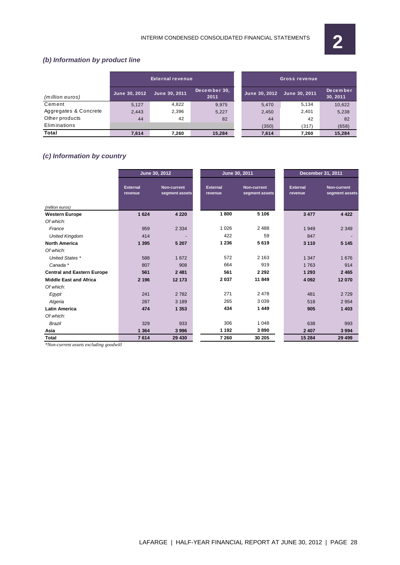

# **(b) Information by product line**

|                       |               | External revenue |                      |               | 'Gross revenue |                             |
|-----------------------|---------------|------------------|----------------------|---------------|----------------|-----------------------------|
| (million euros)       | June 30, 2012 | June 30, 2011    | December 30,<br>2011 | June 30, 2012 | June 30, 2011  | <b>December</b><br>30, 2011 |
| Cement                | 5.127         | 4,822            | 9.975                | 5,470         | 5.134          | 10,622                      |
| Aggregates & Concrete | 2,443         | 2,396            | 5,227                | 2,450         | 2,401          | 5,238                       |
| Other products        | 44            | 42               | 82                   | 44            | 42             | 82                          |
| Eliminations          |               |                  |                      | (350)         | (317)          | (658)                       |
| <b>Total</b>          | 7.614         | 7.260            | 15,284               | 7,614         | 7.260          | 15,284                      |

# **(c) Information by country**

|                                   | June 30, 2012              |                                      | June 30, 2011              |                                      | <b>December 31, 2011</b>   |                                      |
|-----------------------------------|----------------------------|--------------------------------------|----------------------------|--------------------------------------|----------------------------|--------------------------------------|
|                                   | <b>External</b><br>revenue | <b>Non-current</b><br>segment assets | <b>External</b><br>revenue | <b>Non-current</b><br>segment assets | <b>External</b><br>revenue | <b>Non-current</b><br>segment assets |
| (million euros)                   |                            |                                      |                            |                                      |                            |                                      |
| <b>Western Europe</b>             | 1624                       | 4 2 2 0                              | 1800                       | 5 1 0 6                              | 3 4 7 7                    | 4 4 2 2                              |
| Of which:                         |                            |                                      |                            |                                      |                            |                                      |
| France                            | 959                        | 2 3 3 4                              | 1 0 2 6                    | 2 4 8 8                              | 1949                       | 2 3 4 9                              |
| <b>United Kingdom</b>             | 414                        |                                      | 422                        | 59                                   | 847                        |                                      |
| <b>North America</b>              | 1 3 9 5                    | 5 20 7                               | 1 2 3 6                    | 5619                                 | 3 1 1 0                    | 5 1 4 5                              |
| Of which:                         |                            |                                      |                            |                                      |                            |                                      |
| United States *                   | 588                        | 1672                                 | 572                        | 2 1 6 3                              | 1 3 4 7                    | 1676                                 |
| Canada *                          | 807                        | 908                                  | 664                        | 919                                  | 1763                       | 914                                  |
| <b>Central and Eastern Europe</b> | 561                        | 2 4 8 1                              | 561                        | 2 2 9 2                              | 1 2 9 3                    | 2 4 6 5                              |
| <b>Middle East and Africa</b>     | 2 1 9 6                    | 12 173                               | 2037                       | 11849                                | 4 0 9 2                    | 12 070                               |
| Of which:                         |                            |                                      |                            |                                      |                            |                                      |
| Egypt                             | 241                        | 2 7 8 2                              | 271                        | 2478                                 | 481                        | 2729                                 |
| Algeria                           | 287                        | 3 1 8 9                              | 265                        | 3039                                 | 518                        | 2954                                 |
| <b>Latin America</b>              | 474                        | 1 3 5 3                              | 434                        | 1449                                 | 905                        | 1 4 0 3                              |
| Of which:                         |                            |                                      |                            |                                      |                            |                                      |
| <b>Brazil</b>                     | 329                        | 933                                  | 306                        | 1 0 4 8                              | 638                        | 993                                  |
| Asia                              | 1 3 6 4                    | 3996                                 | 1 1 9 2                    | 3890                                 | 2 4 0 7                    | 3994                                 |
| <b>Total</b>                      | 7614                       | 29 430                               | 7 2 6 0                    | 30 205                               | 15 284                     | 29 4 99                              |

*\*Non-current assets excluding goodwill*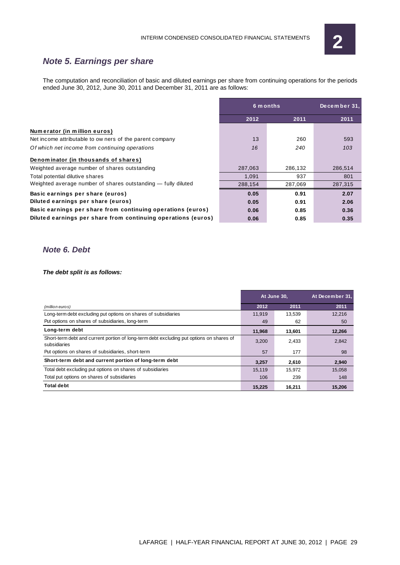

# **Note 5. Earnings per share**

The computation and reconciliation of basic and diluted earnings per share from continuing operations for the periods ended June 30, 2012, June 30, 2011 and December 31, 2011 are as follows:

|                                                               | 6 m onths |         | December 31, |  |
|---------------------------------------------------------------|-----------|---------|--------------|--|
|                                                               | 2012      | 2011    | 2011         |  |
| Numerator (in million euros)                                  |           |         |              |  |
| Net income attributable to ow ners of the parent company      | 13        | 260     | 593          |  |
| Of which net income from continuing operations                | 16        | 240     | 103          |  |
| Denominator (in thousands of shares)                          |           |         |              |  |
| Weighted average number of shares outstanding                 | 287,063   | 286,132 | 286,514      |  |
| Total potential dilutive shares                               | 1.091     | 937     | 801          |  |
| Weighted average number of shares outstanding - fully diluted | 288,154   | 287,069 | 287,315      |  |
| Basic earnings per share (euros)                              | 0.05      | 0.91    | 2.07         |  |
| Diluted earnings per share (euros)                            | 0.05      | 0.91    | 2.06         |  |
| Basic earnings per share from continuing operations (euros)   | 0.06      | 0.85    | 0.36         |  |
| Diluted earnings per share from continuing operations (euros) | 0.06      | 0.85    | 0.35         |  |

## **Note 6. Debt**

#### **The debt split is as follows:**

|                                                                                                          | At June 30, |        | At December 31, |
|----------------------------------------------------------------------------------------------------------|-------------|--------|-----------------|
| (million euros)                                                                                          | 2012        | 2011   | 2011            |
| Long-term debt excluding put options on shares of subsidiaries                                           | 11,919      | 13,539 | 12,216          |
| Put options on shares of subsidiaries, long-term                                                         | 49          | 62     | 50              |
| Long-term debt                                                                                           | 11,968      | 13,601 | 12,266          |
| Short-term debt and current portion of long-term debt excluding put options on shares of<br>subsidiaries | 3,200       | 2,433  | 2,842           |
| Put options on shares of subsidiaries, short-term                                                        | 57          | 177    | 98              |
| Short-term debt and current portion of long-term debt                                                    | 3,257       | 2,610  | 2,940           |
| Total debt excluding put options on shares of subsidiaries                                               | 15.119      | 15,972 | 15.058          |
| Total put options on shares of subsidiaries                                                              | 106         | 239    | 148             |
| Total debt                                                                                               | 15.225      | 16.211 | 15.206          |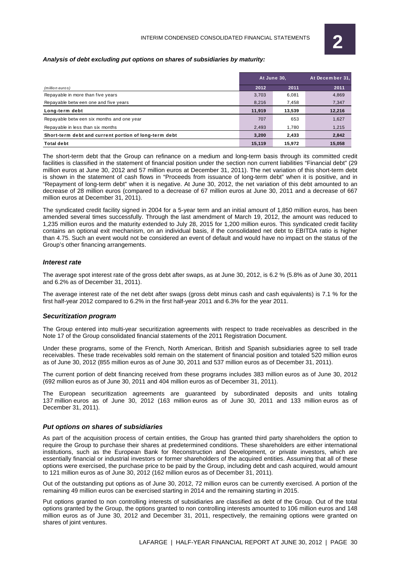#### **Analysis of debt excluding put options on shares of subsidiaries by maturity:**

|                                                       | At June 30, |        | At December 31. |
|-------------------------------------------------------|-------------|--------|-----------------|
| (million euros)                                       | 2012        | 2011   | 2011            |
| Repayable in more than five years                     | 3.703       | 6.081  | 4,869           |
| Repayable betw een one and five years                 | 8.216       | 7.458  | 7,347           |
| Long-term debt                                        | 11,919      | 13,539 | 12,216          |
| Repayable between six months and one year             | 707         | 653    | 1,627           |
| Repayable in less than six months                     | 2.493       | 1.780  | 1,215           |
| Short-term debt and current portion of long-term debt | 3.200       | 2,433  | 2,842           |
| <b>Total debt</b>                                     | 15,119      | 15,972 | 15,058          |

The short-term debt that the Group can refinance on a medium and long-term basis through its committed credit facilities is classified in the statement of financial position under the section non current liabilities "Financial debt" (29 million euros at June 30, 2012 and 57 million euros at December 31, 2011). The net variation of this short-term debt is shown in the statement of cash flows in "Proceeds from issuance of long-term debt" when it is positive, and in "Repayment of long-term debt" when it is negative. At June 30, 2012, the net variation of this debt amounted to an decrease of 28 million euros (compared to a decrease of 67 million euros at June 30, 2011 and a decrease of 667 million euros at December 31, 2011).

The syndicated credit facility signed in 2004 for a 5-year term and an initial amount of 1,850 million euros, has been amended several times successfully. Through the last amendment of March 19, 2012, the amount was reduced to 1,235 million euros and the maturity extended to July 28, 2015 for 1,200 million euros. This syndicated credit facility contains an optional exit mechanism, on an individual basis, if the consolidated net debt to EBITDA ratio is higher than 4.75. Such an event would not be considered an event of default and would have no impact on the status of the Group's other financing arrangements.

#### **Interest rate**

The average spot interest rate of the gross debt after swaps, as at June 30, 2012, is 6.2 % (5.8% as of June 30, 2011 and 6.2% as of December 31, 2011).

The average interest rate of the net debt after swaps (gross debt minus cash and cash equivalents) is 7.1 % for the first half-year 2012 compared to 6.2% in the first half-year 2011 and 6.3% for the year 2011.

#### **Securitization program**

The Group entered into multi-year securitization agreements with respect to trade receivables as described in the Note 17 of the Group consolidated financial statements of the 2011 Registration Document.

Under these programs, some of the French, North American, British and Spanish subsidiaries agree to sell trade receivables. These trade receivables sold remain on the statement of financial position and totaled 520 million euros as of June 30, 2012 (855 million euros as of June 30, 2011 and 537 million euros as of December 31, 2011).

The current portion of debt financing received from these programs includes 383 million euros as of June 30, 2012 (692 million euros as of June 30, 2011 and 404 million euros as of December 31, 2011).

The European securitization agreements are guaranteed by subordinated deposits and units totaling 137 million euros as of June 30, 2012 (163 million euros as of June 30, 2011 and 133 million euros as of December 31, 2011).

#### **Put options on shares of subsidiaries**

As part of the acquisition process of certain entities, the Group has granted third party shareholders the option to require the Group to purchase their shares at predetermined conditions. These shareholders are either international institutions, such as the European Bank for Reconstruction and Development, or private investors, which are essentially financial or industrial investors or former shareholders of the acquired entities. Assuming that all of these options were exercised, the purchase price to be paid by the Group, including debt and cash acquired, would amount to 121 million euros as of June 30, 2012 (162 million euros as of December 31, 2011).

Out of the outstanding put options as of June 30, 2012, 72 million euros can be currently exercised. A portion of the remaining 49 million euros can be exercised starting in 2014 and the remaining starting in 2015.

Put options granted to non controlling interests of subsidiaries are classified as debt of the Group. Out of the total options granted by the Group, the options granted to non controlling interests amounted to 106 million euros and 148 million euros as of June 30, 2012 and December 31, 2011, respectively, the remaining options were granted on shares of joint ventures.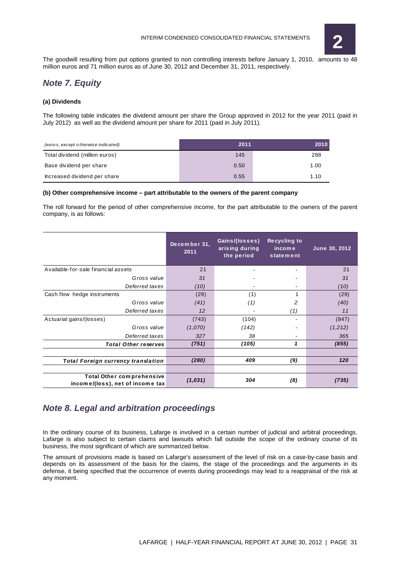

The goodwill resulting from put options granted to non controlling interests before January 1, 2010, amounts to 48 million euros and 71 million euros as of June 30, 2012 and December 31, 2011, respectively.

# **Note 7. Equity**

#### **(a) Dividends**

The following table indicates the dividend amount per share the Group approved in 2012 for the year 2011 (paid in July 2012) as well as the dividend amount per share for 2011 (paid in July 2011).

| (euros, except otherwise indicated) | 2011 |      |
|-------------------------------------|------|------|
| Total dividend (million euros)      | 145  | 288  |
| Base dividend per share             | 0.50 | 1.00 |
| Increased dividend per share        | 0.55 | 1.10 |

#### **(b) Other comprehensive income – part attributable to the owners of the parent company**

The roll forward for the period of other comprehensive income, for the part attributable to the owners of the parent company, is as follows:

|                                                                      | December 31.<br>2011 | Gains/(losses)<br>arising during<br>the period | <b>Recycling to</b><br>income<br>statement | June 30, 2012 |
|----------------------------------------------------------------------|----------------------|------------------------------------------------|--------------------------------------------|---------------|
| Available-for-sale financial assets                                  | 21                   |                                                |                                            | 21            |
| Gross value                                                          | 31                   |                                                |                                            | 31            |
| Deferred taxes                                                       | (10)                 |                                                | ۰                                          | (10)          |
| Cash flow hedge instruments                                          | (29)                 | (1)                                            |                                            | (29)          |
| Gross value                                                          | (41)                 | (1)                                            | 2                                          | (40)          |
| Deferred taxes                                                       | 12                   |                                                | (1)                                        | 11            |
| Actuarial gains/(losses)                                             | (743)                | (104)                                          |                                            | (847)         |
| Gross value                                                          | (1,070)              | (142)                                          |                                            | (1, 212)      |
| Deferred taxes                                                       | 327                  | 38                                             |                                            | 365           |
| <b>Total Other reserves</b>                                          | (751)                | (105)                                          | 1                                          | (855)         |
|                                                                      |                      |                                                |                                            |               |
| <b>Total Foreign currency translation</b>                            | (280)                | 409                                            | (9)                                        | 120           |
|                                                                      |                      |                                                |                                            |               |
| <b>Total Other comprehensive</b><br>income/(loss), net of income tax | (1,031)              | 304                                            | (8)                                        | (735)         |

## **Note 8. Legal and arbitration proceedings**

In the ordinary course of its business, Lafarge is involved in a certain number of judicial and arbitral proceedings. Lafarge is also subject to certain claims and lawsuits which fall outside the scope of the ordinary course of its business, the most significant of which are summarized below.

The amount of provisions made is based on Lafarge's assessment of the level of risk on a case-by-case basis and depends on its assessment of the basis for the claims, the stage of the proceedings and the arguments in its defense, it being specified that the occurrence of events during proceedings may lead to a reappraisal of the risk at any moment.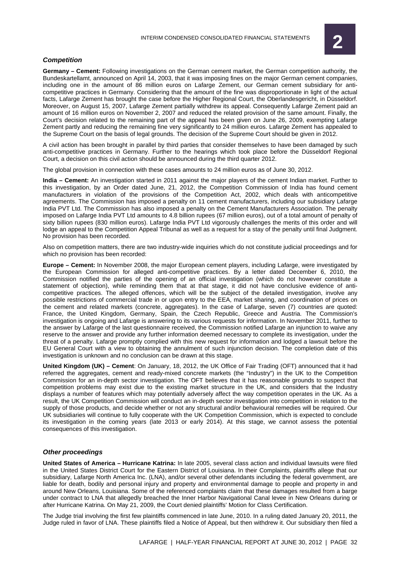#### **Competition**

**Germany – Cement:** Following investigations on the German cement market, the German competition authority, the Bundeskartellamt, announced on April 14, 2003, that it was imposing fines on the major German cement companies, including one in the amount of 86 million euros on Lafarge Zement, our German cement subsidiary for anticompetitive practices in Germany. Considering that the amount of the fine was disproportionate in light of the actual facts, Lafarge Zement has brought the case before the Higher Regional Court, the Oberlandesgericht, in Düsseldorf. Moreover, on August 15, 2007, Lafarge Zement partially withdrew its appeal. Consequently Lafarge Zement paid an amount of 16 million euros on November 2, 2007 and reduced the related provision of the same amount. Finally, the Court's decision related to the remaining part of the appeal has been given on June 26, 2009, exempting Lafarge Zement partly and reducing the remaining fine very significantly to 24 million euros. Lafarge Zement has appealed to the Supreme Court on the basis of legal grounds. The decision of the Supreme Court should be given in 2012.

A civil action has been brought in parallel by third parties that consider themselves to have been damaged by such anti-competitive practices in Germany. Further to the hearings which took place before the Düsseldorf Regional Court, a decision on this civil action should be announced during the third quarter 2012.

The global provision in connection with these cases amounts to 24 million euros as of June 30, 2012.

**India – Cement:** An investigation started in 2011 against the major players of the cement Indian market. Further to this investigation, by an Order dated June, 21, 2012, the Competition Commission of India has found cement manufacturers in violation of the provisions of the Competition Act, 2002, which deals with anticompetitive agreements. The Commission has imposed a penalty on 11 cement manufacturers, including our subsidiary Lafarge India PVT Ltd. The Commission has also imposed a penalty on the Cement Manufacturers Association. The penalty imposed on Lafarge India PVT Ltd amounts to 4.8 billion rupees (67 million euros), out of a total amount of penalty of sixty billion rupees (830 million euros). Lafarge India PVT Ltd vigorously challenges the merits of this order and will lodge an appeal to the Competition Appeal Tribunal as well as a request for a stay of the penalty until final Judgment. No provision has been recorded.

Also on competition matters, there are two industry-wide inquiries which do not constitute judicial proceedings and for which no provision has been recorded:

**Europe – Cement:** In November 2008, the major European cement players, including Lafarge, were investigated by the European Commission for alleged anti-competitive practices. By a letter dated December 6, 2010, the Commission notified the parties of the opening of an official investigation (which do not however constitute a statement of objection), while reminding them that at that stage, it did not have conclusive evidence of anticompetitive practices. The alleged offences, which will be the subject of the detailed investigation, involve any possible restrictions of commercial trade in or upon entry to the EEA, market sharing, and coordination of prices on the cement and related markets (concrete, aggregates). In the case of Lafarge, seven (7) countries are quoted: France, the United Kingdom, Germany, Spain, the Czech Republic, Greece and Austria. The Commission's investigation is ongoing and Lafarge is answering to its various requests for information. In November 2011, further to the answer by Lafarge of the last questionnaire received, the Commission notified Lafarge an injunction to waive any reserve to the answer and provide any further information deemed necessary to complete its investigation, under the threat of a penalty. Lafarge promptly complied with this new request for information and lodged a lawsuit before the EU General Court with a view to obtaining the annulment of such injunction decision. The completion date of this investigation is unknown and no conclusion can be drawn at this stage.

**United Kingdom (UK) – Cement**: On January, 18, 2012, the UK Office of Fair Trading (OFT) announced that it had referred the aggregates, cement and ready-mixed concrete markets (the "Industry") in the UK to the Competition Commission for an in-depth sector investigation. The OFT believes that it has reasonable grounds to suspect that competition problems may exist due to the existing market structure in the UK, and considers that the Industry displays a number of features which may potentially adversely affect the way competition operates in the UK. As a result, the UK Competition Commission will conduct an in-depth sector investigation into competition in relation to the supply of those products, and decide whether or not any structural and/or behavioural remedies will be required. Our UK subsidiaries will continue to fully cooperate with the UK Competition Commission, which is expected to conclude its investigation in the coming years (late 2013 or early 2014). At this stage, we cannot assess the potential consequences of this investigation.

#### **Other proceedings**

**United States of America – Hurricane Katrina:** In late 2005, several class action and individual lawsuits were filed in the United States District Court for the Eastern District of Louisiana. In their Complaints, plaintiffs allege that our subsidiary, Lafarge North America Inc. (LNA), and/or several other defendants including the federal government, are liable for death, bodily and personal injury and property and environmental damage to people and property in and around New Orleans, Louisiana. Some of the referenced complaints claim that these damages resulted from a barge under contract to LNA that allegedly breached the Inner Harbor Navigational Canal levee in New Orleans during or after Hurricane Katrina. On May 21, 2009, the Court denied plaintiffs' Motion for Class Certification.

The Judge trial involving the first few plaintiffs commenced in late June, 2010. In a ruling dated January 20, 2011, the Judge ruled in favor of LNA. These plaintiffs filed a Notice of Appeal, but then withdrew it. Our subsidiary then filed a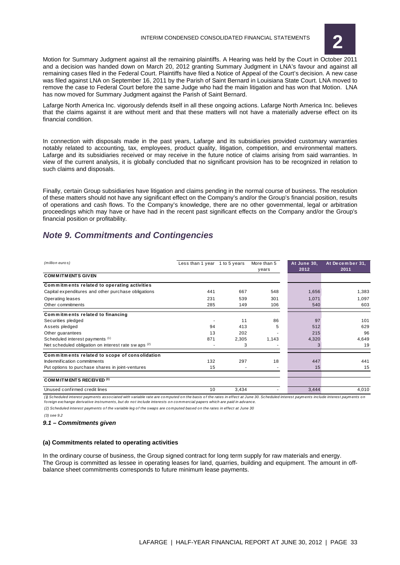

Motion for Summary Judgment against all the remaining plaintiffs. A Hearing was held by the Court in October 2011 and a decision was handed down on March 20, 2012 granting Summary Judgment in LNA's favour and against all remaining cases filed in the Federal Court. Plaintiffs have filed a Notice of Appeal of the Court's decision. A new case was filed against LNA on September 16, 2011 by the Parish of Saint Bernard in Louisiana State Court. LNA moved to remove the case to Federal Court before the same Judge who had the main litigation and has won that Motion. LNA has now moved for Summary Judgment against the Parish of Saint Bernard.

Lafarge North America Inc. vigorously defends itself in all these ongoing actions. Lafarge North America Inc. believes that the claims against it are without merit and that these matters will not have a materially adverse effect on its financial condition.

In connection with disposals made in the past years, Lafarge and its subsidiaries provided customary warranties notably related to accounting, tax, employees, product quality, litigation, competition, and environmental matters. Lafarge and its subsidiaries received or may receive in the future notice of claims arising from said warranties. In view of the current analysis, it is globally concluded that no significant provision has to be recognized in relation to such claims and disposals.

Finally, certain Group subsidiaries have litigation and claims pending in the normal course of business. The resolution of these matters should not have any significant effect on the Company's and/or the Group's financial position, results of operations and cash flows. To the Company's knowledge, there are no other governmental, legal or arbitration proceedings which may have or have had in the recent past significant effects on the Company and/or the Group's financial position or profitability.

# **Note 9. Commitments and Contingencies**

| (million euros)                                      | Less than 1 year 1 to 5 years |       | More than 5 | At June 30, | At December 31, |
|------------------------------------------------------|-------------------------------|-------|-------------|-------------|-----------------|
|                                                      |                               |       | years       | 2012        | 2011            |
| <b>COMMITMENTS GIVEN</b>                             |                               |       |             |             |                 |
| Commitments related to operating activities          |                               |       |             |             |                 |
| Capital expenditures and other purchase obligations  | 441                           | 667   | 548         | 1,656       | 1,383           |
| Operating leases                                     | 231                           | 539   | 301         | 1,071       | 1.097           |
| Other commitments                                    | 285                           | 149   | 106         | 540         | 603             |
| Commitments related to financing                     |                               |       |             |             |                 |
| Securities pledged                                   |                               | 11    | 86          | 97          | 101             |
| Assets pledged                                       | 94                            | 413   | 5           | 512         | 629             |
| Other guarantees                                     | 13                            | 202   |             | 215         | 96              |
| Scheduled interest payments (1)                      | 871                           | 2,305 | 1,143       | 4,320       | 4,649           |
| Net scheduled obligation on interest rate sw aps (2) |                               | 3     |             | 3           | 19              |
| Commitments related to scope of consolidation        |                               |       |             |             |                 |
| Indemnification commitments                          | 132                           | 297   | 18          | 447         | 441             |
| Put options to purchase shares in joint-ventures     | 15                            |       |             | 15          | 15              |
| COMMITMENTS RECEIVED <sup>(3)</sup>                  |                               |       |             |             |                 |
| Unused confirmed credit lines                        | 10                            | 3,434 |             | 3,444       | 4,010           |

(1) Scheduled interest payments associated with variable rate are computed on the basis of the rates in effect at June 30. Scheduled interest payments include interest payments on fo reign exchange derivative instruments, but do not include interests on commercial papers which are paid in advance.

(2) Scheduled interest payments of the variable leg of the swaps are computed based on the rates in effect at June 30

(3) see 9.2

**9.1 – Commitments given** 

#### **(a) Commitments related to operating activities**

In the ordinary course of business, the Group signed contract for long term supply for raw materials and energy. The Group is committed as lessee in operating leases for land, quarries, building and equipment. The amount in offbalance sheet commitments corresponds to future minimum lease payments.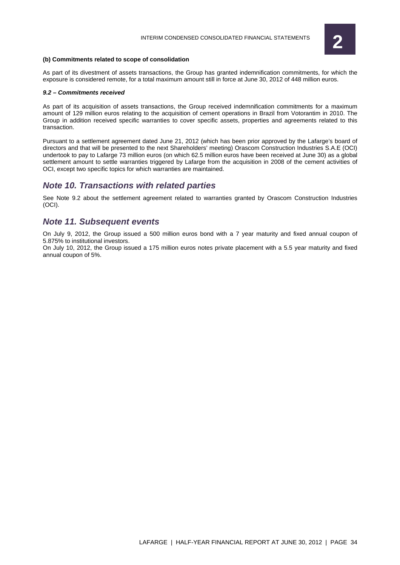

#### **(b) Commitments related to scope of consolidation**

As part of its divestment of assets transactions, the Group has granted indemnification commitments, for which the exposure is considered remote, for a total maximum amount still in force at June 30, 2012 of 448 million euros.

#### **9.2 – Commitments received**

As part of its acquisition of assets transactions, the Group received indemnification commitments for a maximum amount of 129 million euros relating to the acquisition of cement operations in Brazil from Votorantim in 2010. The Group in addition received specific warranties to cover specific assets, properties and agreements related to this transaction.

Pursuant to a settlement agreement dated June 21, 2012 (which has been prior approved by the Lafarge's board of directors and that will be presented to the next Shareholders' meeting) Orascom Construction Industries S.A.E (OCI) undertook to pay to Lafarge 73 million euros (on which 62.5 million euros have been received at June 30) as a global settlement amount to settle warranties triggered by Lafarge from the acquisition in 2008 of the cement activities of OCI, except two specific topics for which warranties are maintained.

## **Note 10. Transactions with related parties**

See Note 9.2 about the settlement agreement related to warranties granted by Orascom Construction Industries (OCI).

## **Note 11. Subsequent events**

On July 9, 2012, the Group issued a 500 million euros bond with a 7 year maturity and fixed annual coupon of 5.875% to institutional investors.

On July 10, 2012, the Group issued a 175 million euros notes private placement with a 5.5 year maturity and fixed annual coupon of 5%.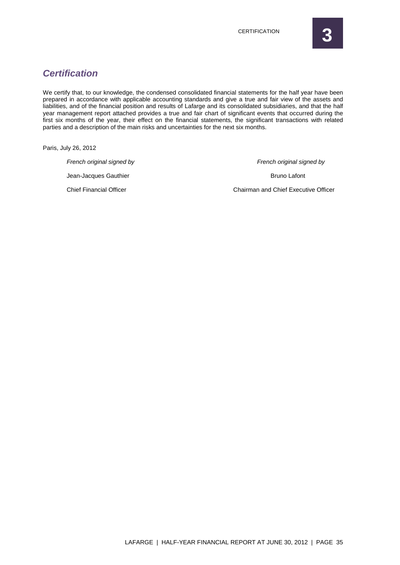# **Certification**

We certify that, to our knowledge, the condensed consolidated financial statements for the half year have been prepared in accordance with applicable accounting standards and give a true and fair view of the assets and liabilities, and of the financial position and results of Lafarge and its consolidated subsidiaries, and that the half year management report attached provides a true and fair chart of significant events that occurred during the first six months of the year, their effect on the financial statements, the significant transactions with related parties and a description of the main risks and uncertainties for the next six months.

Paris, July 26, 2012

French original signed by French original signed by French original signed by

Jean-Jacques Gauthier **Bruno Lafont** Bruno Lafont

Chief Financial Officer Chairman and Chief Executive Officer